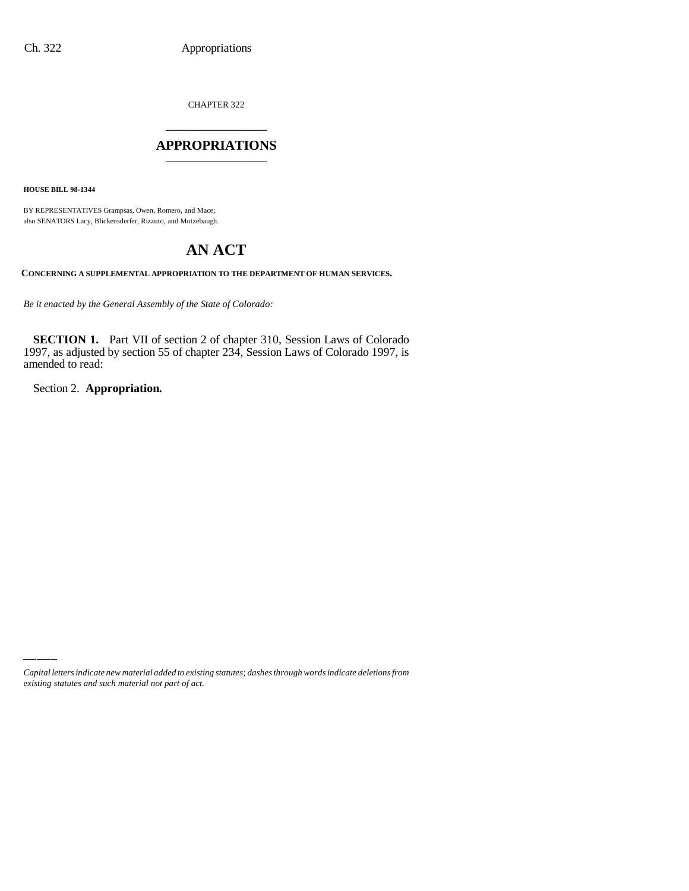CHAPTER 322 \_\_\_\_\_\_\_\_\_\_\_\_\_\_\_

### **APPROPRIATIONS** \_\_\_\_\_\_\_\_\_\_\_\_\_\_\_

**HOUSE BILL 98-1344**

BY REPRESENTATIVES Grampsas, Owen, Romero, and Mace; also SENATORS Lacy, Blickensderfer, Rizzuto, and Mutzebaugh.

# **AN ACT**

**CONCERNING A SUPPLEMENTAL APPROPRIATION TO THE DEPARTMENT OF HUMAN SERVICES.**

*Be it enacted by the General Assembly of the State of Colorado:*

**SECTION 1.** Part VII of section 2 of chapter 310, Session Laws of Colorado 1997, as adjusted by section 55 of chapter 234, Session Laws of Colorado 1997, is amended to read:

Section 2. **Appropriation.**

*Capital letters indicate new material added to existing statutes; dashes through words indicate deletions from existing statutes and such material not part of act.*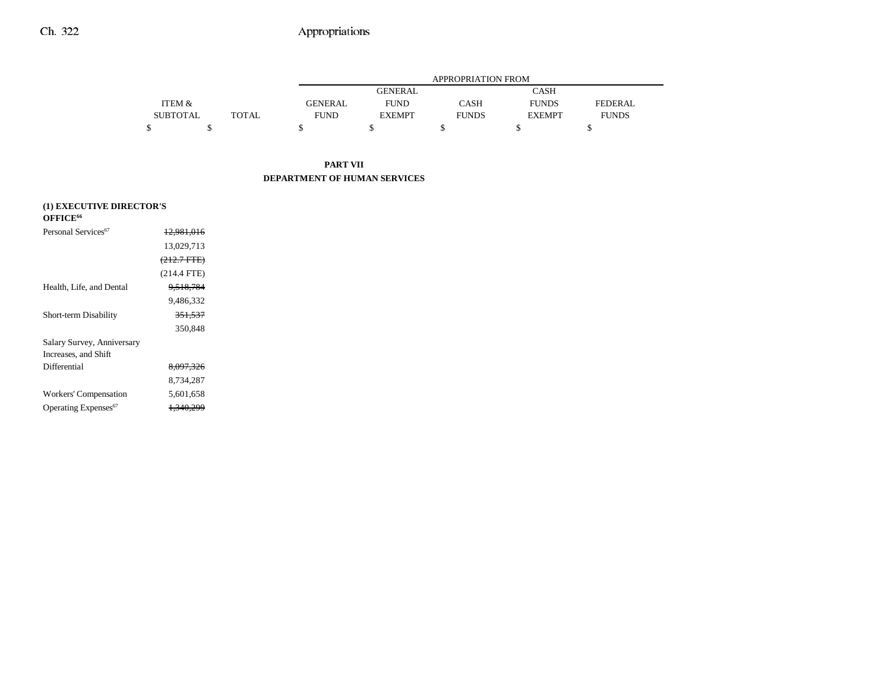|                 |              | APPROPRIATION FROM |                |              |               |              |
|-----------------|--------------|--------------------|----------------|--------------|---------------|--------------|
|                 |              |                    | <b>GENERAL</b> |              | CASH          |              |
| ITEM &          |              | <b>GENERAL</b>     | <b>FUND</b>    | <b>CASH</b>  | <b>FUNDS</b>  | FEDERAL.     |
| <b>SUBTOTAL</b> | <b>TOTAL</b> | <b>FUND</b>        | <b>EXEMPT</b>  | <b>FUNDS</b> | <b>EXEMPT</b> | <b>FUNDS</b> |
|                 |              |                    |                |              |               |              |

### **PART VII DEPARTMENT OF HUMAN SERVICES**

| (1) EXECUTIVE DIRECTOR'S         |                       |  |  |  |
|----------------------------------|-----------------------|--|--|--|
| OFFICE <sup>66</sup>             |                       |  |  |  |
| Personal Services <sup>67</sup>  | <del>12.981.016</del> |  |  |  |
|                                  | 13.029.713            |  |  |  |
|                                  | $(212.7 \text{ FTE})$ |  |  |  |
|                                  | $(214.4$ FTE)         |  |  |  |
| Health, Life, and Dental         | 9.518.784             |  |  |  |
|                                  | 9.486.332             |  |  |  |
| Short-term Disability            | <del>351.537</del>    |  |  |  |
|                                  | 350,848               |  |  |  |
| Salary Survey, Anniversary       |                       |  |  |  |
| Increases, and Shift             |                       |  |  |  |
| Differential                     | 8,097,326             |  |  |  |
|                                  | 8,734,287             |  |  |  |
| Workers' Compensation            | 5,601,658             |  |  |  |
| Operating Expenses <sup>67</sup> | <del>1.340.299</del>  |  |  |  |
|                                  |                       |  |  |  |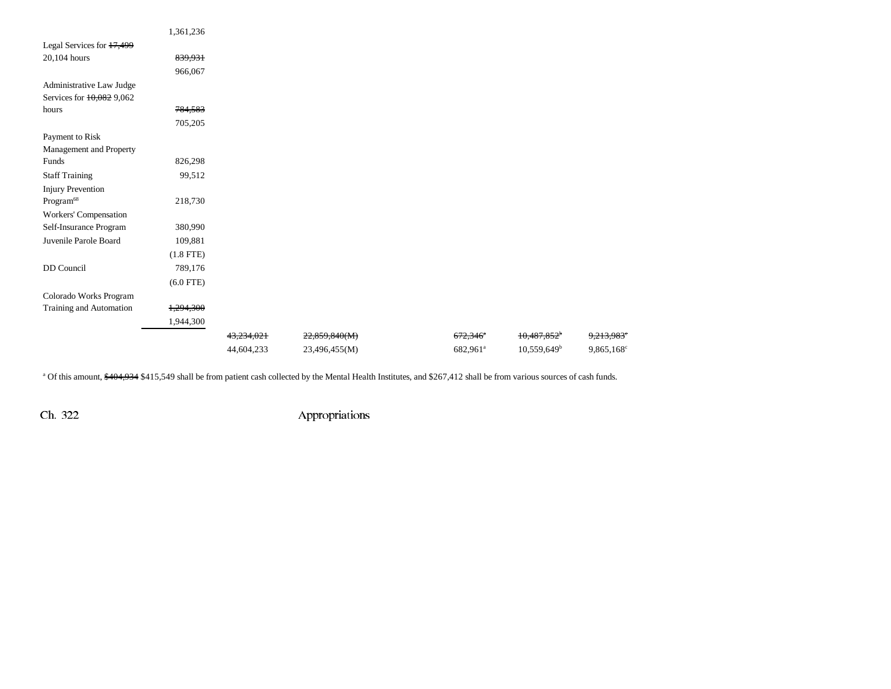|                           | 1,361,236   |            |               |                        |                         |                        |
|---------------------------|-------------|------------|---------------|------------------------|-------------------------|------------------------|
| Legal Services for 17,499 |             |            |               |                        |                         |                        |
| 20,104 hours              | 839,931     |            |               |                        |                         |                        |
|                           | 966,067     |            |               |                        |                         |                        |
| Administrative Law Judge  |             |            |               |                        |                         |                        |
| Services for 10,082 9,062 |             |            |               |                        |                         |                        |
| hours                     | 784,583     |            |               |                        |                         |                        |
|                           | 705,205     |            |               |                        |                         |                        |
| Payment to Risk           |             |            |               |                        |                         |                        |
| Management and Property   |             |            |               |                        |                         |                        |
| Funds                     | 826,298     |            |               |                        |                         |                        |
| <b>Staff Training</b>     | 99,512      |            |               |                        |                         |                        |
| <b>Injury Prevention</b>  |             |            |               |                        |                         |                        |
| $\mathrm{Program}^{68}$   | 218,730     |            |               |                        |                         |                        |
| Workers' Compensation     |             |            |               |                        |                         |                        |
| Self-Insurance Program    | 380,990     |            |               |                        |                         |                        |
| Juvenile Parole Board     | 109,881     |            |               |                        |                         |                        |
|                           | $(1.8$ FTE) |            |               |                        |                         |                        |
| DD Council                | 789,176     |            |               |                        |                         |                        |
|                           | $(6.0$ FTE) |            |               |                        |                         |                        |
| Colorado Works Program    |             |            |               |                        |                         |                        |
| Training and Automation   | 1,294,300   |            |               |                        |                         |                        |
|                           | 1,944,300   |            |               |                        |                         |                        |
|                           |             | 43,234,021 | 22,859,840(M) | $672,346$ <sup>a</sup> | 10,487,852 <sup>b</sup> | 9,213,983 <sup>e</sup> |
|                           |             | 44,604,233 | 23,496,455(M) | 682,961 <sup>a</sup>   | $10,559,649^{\rm b}$    | 9,865,168 <sup>c</sup> |
|                           |             |            |               |                        |                         |                        |

<sup>a</sup> Of this amount, \$404,934 \$415,549 shall be from patient cash collected by the Mental Health Institutes, and \$267,412 shall be from various sources of cash funds.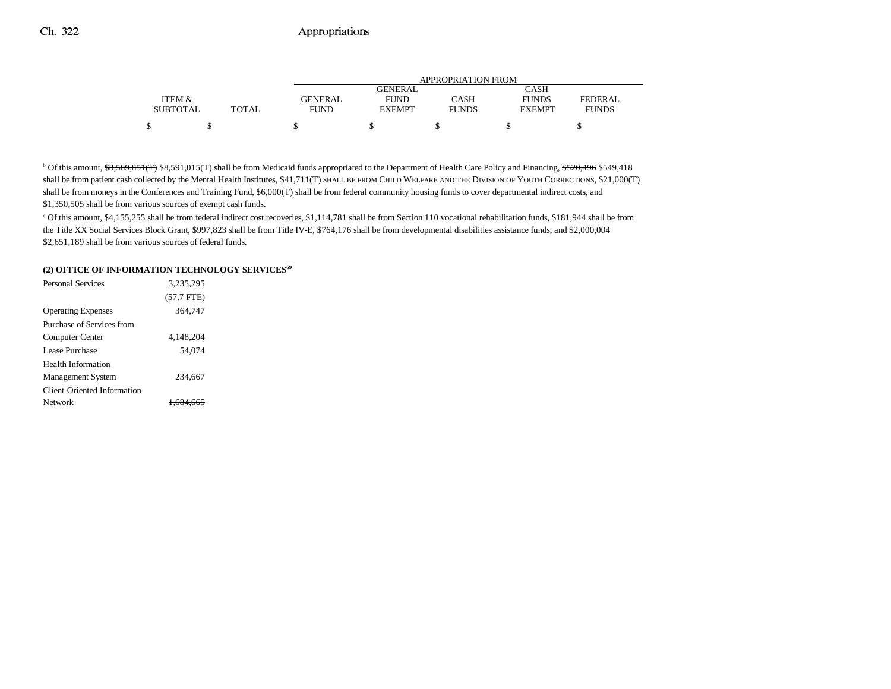|                 |              | <b>APPROPRIATION FROM</b> |               |              |               |              |
|-----------------|--------------|---------------------------|---------------|--------------|---------------|--------------|
|                 |              |                           | GENERAL       |              | CASH          |              |
| ITEM &          |              | <b>GENERAL</b>            | <b>FUND</b>   | CASH         | <b>FUNDS</b>  | FEDERAL      |
| <b>SUBTOTAL</b> | <b>TOTAL</b> | FUND                      | <b>EXEMPT</b> | <b>FUNDS</b> | <b>EXEMPT</b> | <b>FUNDS</b> |
| ሖ               |              |                           |               |              |               |              |

<sup>b</sup> Of this amount, \$8,589,851(T) \$8,591,015(T) shall be from Medicaid funds appropriated to the Department of Health Care Policy and Financing, \$520,496 \$549,418 shall be from patient cash collected by the Mental Health Institutes, \$41,711(T) SHALL BE FROM CHILD WELFARE AND THE DIVISION OF YOUTH CORRECTIONS, \$21,000(T) shall be from moneys in the Conferences and Training Fund, \$6,000(T) shall be from federal community housing funds to cover departmental indirect costs, and \$1,350,505 shall be from various sources of exempt cash funds.

c Of this amount, \$4,155,255 shall be from federal indirect cost recoveries, \$1,114,781 shall be from Section 110 vocational rehabilitation funds, \$181,944 shall be from the Title XX Social Services Block Grant, \$997,823 shall be from Title IV-E, \$764,176 shall be from developmental disabilities assistance funds, and \$2,000,004 \$2,651,189 shall be from various sources of federal funds.

#### (2) OFFICE OF INFORMATION TECHNOLOGY SERVICES<sup>69</sup>

| <b>Personal Services</b>    | 3.235.295    |  |
|-----------------------------|--------------|--|
|                             | $(57.7$ FTE) |  |
| <b>Operating Expenses</b>   | 364,747      |  |
| Purchase of Services from   |              |  |
| Computer Center             | 4.148.204    |  |
| Lease Purchase              | 54.074       |  |
| <b>Health Information</b>   |              |  |
| <b>Management System</b>    | 234,667      |  |
| Client-Oriented Information |              |  |
| Network                     | 684 665      |  |
|                             |              |  |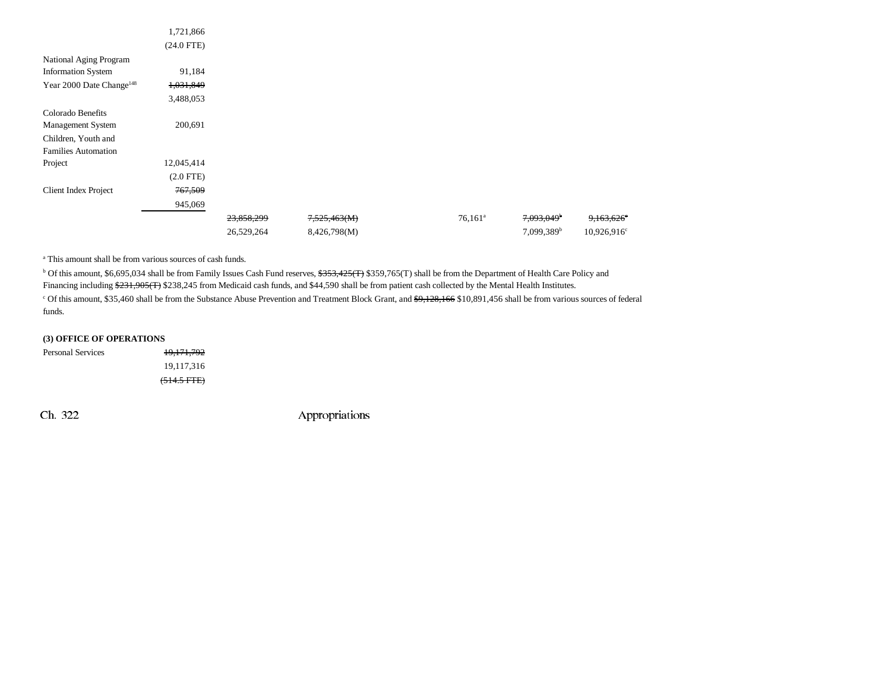|                                      | 1,721,866    |            |              |                  |                        |                          |
|--------------------------------------|--------------|------------|--------------|------------------|------------------------|--------------------------|
|                                      | $(24.0$ FTE) |            |              |                  |                        |                          |
| National Aging Program               |              |            |              |                  |                        |                          |
| <b>Information System</b>            | 91,184       |            |              |                  |                        |                          |
| Year 2000 Date Change <sup>148</sup> | 1,031,849    |            |              |                  |                        |                          |
|                                      | 3,488,053    |            |              |                  |                        |                          |
| Colorado Benefits                    |              |            |              |                  |                        |                          |
| Management System                    | 200,691      |            |              |                  |                        |                          |
| Children, Youth and                  |              |            |              |                  |                        |                          |
| <b>Families Automation</b>           |              |            |              |                  |                        |                          |
| Project                              | 12,045,414   |            |              |                  |                        |                          |
|                                      | $(2.0$ FTE)  |            |              |                  |                        |                          |
| <b>Client Index Project</b>          | 767,509      |            |              |                  |                        |                          |
|                                      | 945,069      |            |              |                  |                        |                          |
|                                      |              | 23,858,299 | 7,525,463(M) | $76,161^{\circ}$ | 7,093,049 <sup>b</sup> | $9,163,626$ <sup>e</sup> |
|                                      |              | 26,529,264 | 8,426,798(M) |                  | 7,099,389 <sup>b</sup> | 10,926,916 <sup>c</sup>  |

a This amount shall be from various sources of cash funds.

<sup>b</sup> Of this amount, \$6,695,034 shall be from Family Issues Cash Fund reserves, <del>\$353,425(T)</del> \$359,765(T) shall be from the Department of Health Care Policy and

Financing including \$231,905(T) \$238,245 from Medicaid cash funds, and \$44,590 shall be from patient cash collected by the Mental Health Institutes.

<sup>c</sup> Of this amount, \$35,460 shall be from the Substance Abuse Prevention and Treatment Block Grant, and \$9,128,166 \$10,891,456 shall be from various sources of federal funds.

|  | (3) OFFICE OF OPERATIONS |  |
|--|--------------------------|--|
|  |                          |  |

| Personal Services | <del>19,171,792</del> |
|-------------------|-----------------------|
|                   | 19,117,316            |
|                   | $(514.5$ FTE)         |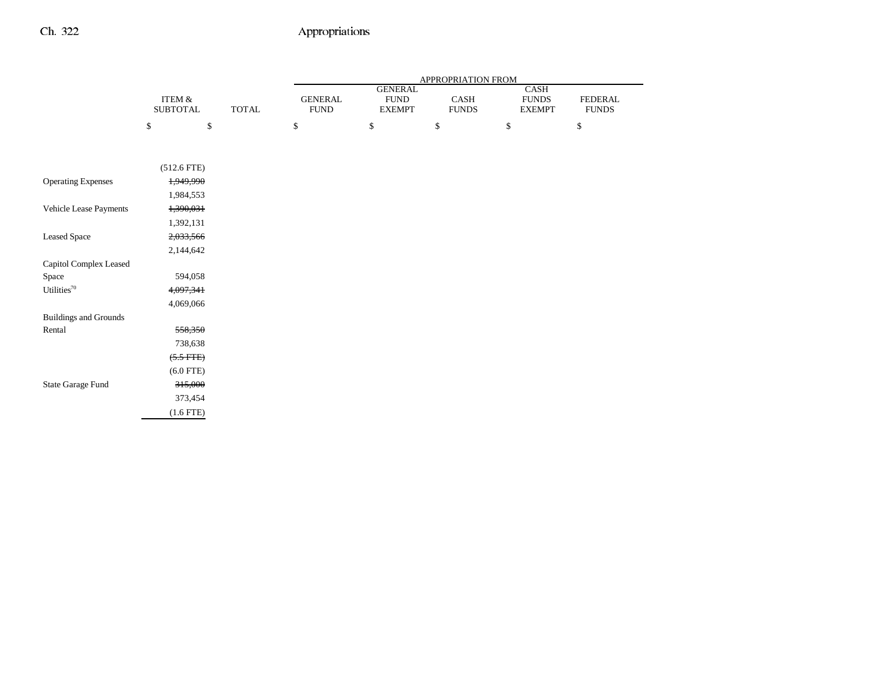|                              |                           |              | APPROPRIATION FROM            |                                                 |                                           |                                              |                         |
|------------------------------|---------------------------|--------------|-------------------------------|-------------------------------------------------|-------------------------------------------|----------------------------------------------|-------------------------|
|                              | ITEM &<br><b>SUBTOTAL</b> | <b>TOTAL</b> | <b>GENERAL</b><br><b>FUND</b> | <b>GENERAL</b><br><b>FUND</b><br>${\sf EXEMPT}$ | $\operatorname{CASH}$<br>${\hbox{FUNDS}}$ | <b>CASH</b><br><b>FUNDS</b><br><b>EXEMPT</b> | FEDERAL<br><b>FUNDS</b> |
|                              | \$                        | \$           | \$                            | $\mathbb{S}$                                    | $\mathbb{S}$                              | \$                                           | $\mathbb{S}$            |
|                              |                           |              |                               |                                                 |                                           |                                              |                         |
|                              | $(512.6$ FTE)             |              |                               |                                                 |                                           |                                              |                         |
| <b>Operating Expenses</b>    | 1,949,990                 |              |                               |                                                 |                                           |                                              |                         |
|                              | 1,984,553                 |              |                               |                                                 |                                           |                                              |                         |
| Vehicle Lease Payments       | 1,390,031                 |              |                               |                                                 |                                           |                                              |                         |
|                              | 1,392,131                 |              |                               |                                                 |                                           |                                              |                         |
| <b>Leased Space</b>          | 2,033,566                 |              |                               |                                                 |                                           |                                              |                         |
|                              | 2,144,642                 |              |                               |                                                 |                                           |                                              |                         |
| Capitol Complex Leased       |                           |              |                               |                                                 |                                           |                                              |                         |
| Space                        | 594,058                   |              |                               |                                                 |                                           |                                              |                         |
| Utilities <sup>70</sup>      | 4,097,341                 |              |                               |                                                 |                                           |                                              |                         |
|                              | 4,069,066                 |              |                               |                                                 |                                           |                                              |                         |
| <b>Buildings and Grounds</b> |                           |              |                               |                                                 |                                           |                                              |                         |
| Rental                       | 558,350                   |              |                               |                                                 |                                           |                                              |                         |
|                              | 738,638                   |              |                               |                                                 |                                           |                                              |                         |
|                              | $(5.5$ FTE)               |              |                               |                                                 |                                           |                                              |                         |
|                              | $(6.0$ FTE)               |              |                               |                                                 |                                           |                                              |                         |
| State Garage Fund            | 315,000                   |              |                               |                                                 |                                           |                                              |                         |
|                              | 373,454                   |              |                               |                                                 |                                           |                                              |                         |
|                              | $(1.6$ FTE)               |              |                               |                                                 |                                           |                                              |                         |
|                              |                           |              |                               |                                                 |                                           |                                              |                         |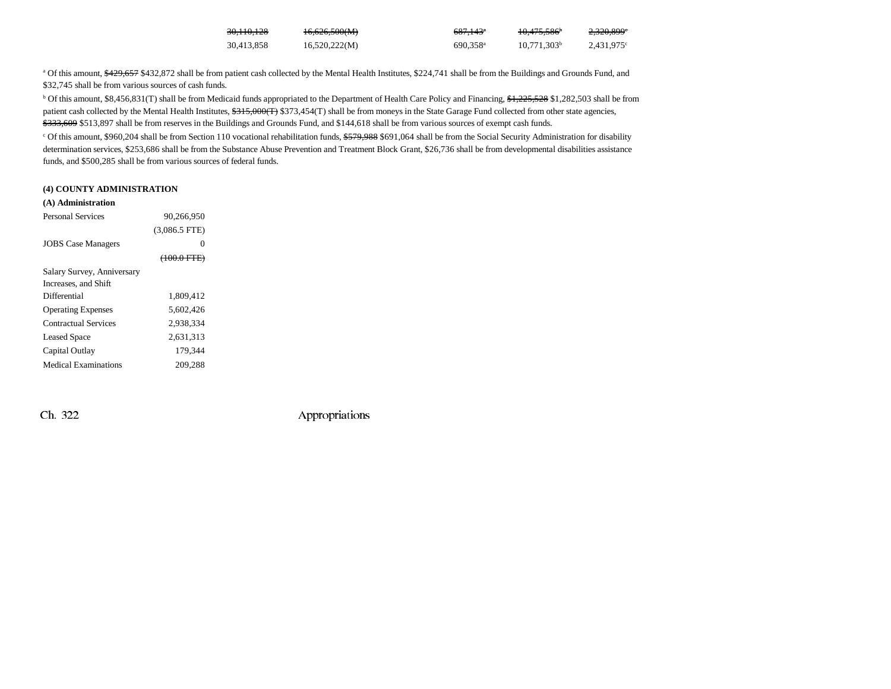| 30,110,128 | 16.696.5000 $\triangle$<br>10,020,000(1) | <del>687.143</del> <sup>a</sup> | $10.475$ $506$<br>10.475.566 | 2200,0000<br>Z.JZV.077   |
|------------|------------------------------------------|---------------------------------|------------------------------|--------------------------|
| 30,413,858 | 16,520,222(M)                            | 690.358 <sup>a</sup>            | $10.771.303^b$               | $2.431.975$ <sup>c</sup> |

<sup>a</sup> Of this amount, \$429,657 \$432,872 shall be from patient cash collected by the Mental Health Institutes, \$224,741 shall be from the Buildings and Grounds Fund, and \$32,745 shall be from various sources of cash funds.

<sup>b</sup> Of this amount, \$8,456,831(T) shall be from Medicaid funds appropriated to the Department of Health Care Policy and Financing, \$1,225,528 \$1,282,503 shall be from patient cash collected by the Mental Health Institutes,  $$315,000(T)$  \$373,454(T) shall be from moneys in the State Garage Fund collected from other state agencies, \$333,609 \$513,897 shall be from reserves in the Buildings and Grounds Fund, and \$144,618 shall be from various sources of exempt cash funds.

<sup>c</sup> Of this amount, \$960,204 shall be from Section 110 vocational rehabilitation funds, \$579,988 \$691,064 shall be from the Social Security Administration for disability determination services, \$253,686 shall be from the Substance Abuse Prevention and Treatment Block Grant, \$26,736 shall be from developmental disabilities assistance funds, and \$500,285 shall be from various sources of federal funds.

#### **(4) COUNTY ADMINISTRATION**

| (A) Administration |  |
|--------------------|--|
|                    |  |

| <b>Personal Services</b>   | 90.266.950            |  |
|----------------------------|-----------------------|--|
|                            | $(3,086.5$ FTE)       |  |
| <b>JOBS</b> Case Managers  | 0                     |  |
|                            | $(100.0 \text{ FTE})$ |  |
| Salary Survey, Anniversary |                       |  |
| Increases, and Shift       |                       |  |
| Differential               | 1.809.412             |  |
| <b>Operating Expenses</b>  | 5.602.426             |  |
| Contractual Services       | 2.938.334             |  |
| <b>Leased Space</b>        | 2,631,313             |  |
| Capital Outlay             | 179.344               |  |
| Medical Examinations       | 209.288               |  |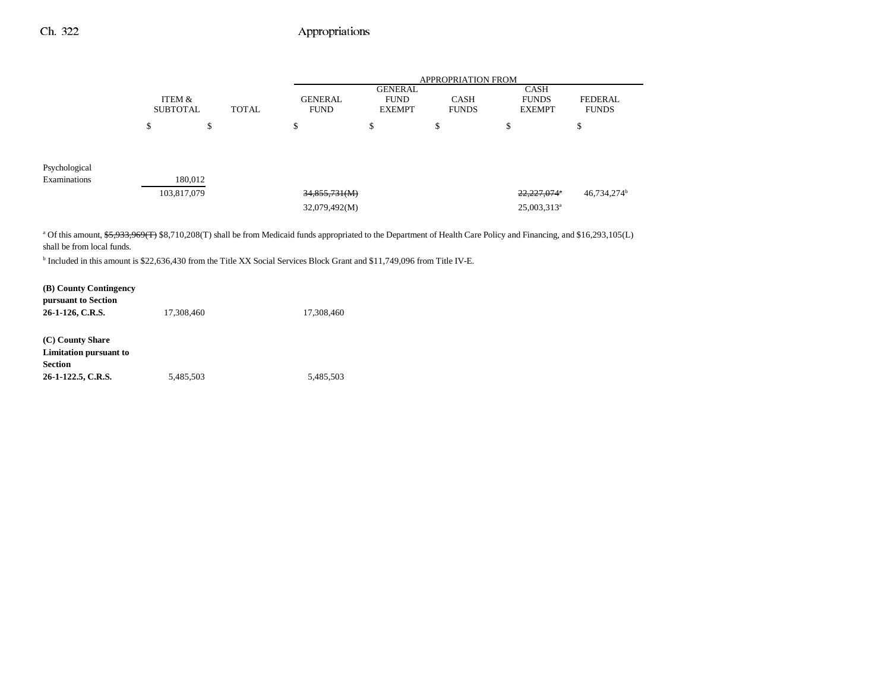|               |                           |              | <b>APPROPRIATION FROM</b>      |                                                |                             |                                              |                                |  |
|---------------|---------------------------|--------------|--------------------------------|------------------------------------------------|-----------------------------|----------------------------------------------|--------------------------------|--|
|               | ITEM &<br><b>SUBTOTAL</b> | <b>TOTAL</b> | <b>GENERAL</b><br><b>FUND</b>  | <b>GENERAL</b><br><b>FUND</b><br><b>EXEMPT</b> | <b>CASH</b><br><b>FUNDS</b> | <b>CASH</b><br><b>FUNDS</b><br><b>EXEMPT</b> | <b>FEDERAL</b><br><b>FUNDS</b> |  |
|               | \$                        | \$           | \$                             | \$                                             | \$                          | \$                                           | ¢<br>D                         |  |
| Psychological |                           |              |                                |                                                |                             |                                              |                                |  |
| Examinations  | 103,817,079               | 180,012      | 34,855,731(M)<br>32,079,492(M) |                                                |                             | 22,227,074<br>$25,003,313^a$                 | 46,734,274 <sup>b</sup>        |  |

<sup>a</sup> Of this amount, \$5,933,969(T) \$8,710,208(T) shall be from Medicaid funds appropriated to the Department of Health Care Policy and Financing, and \$16,293,105(L) shall be from local funds.

b Included in this amount is \$22,636,430 from the Title XX Social Services Block Grant and \$11,749,096 from Title IV-E.

| (B) County Contingency<br>pursuant to Section                                      |            |            |
|------------------------------------------------------------------------------------|------------|------------|
| 26-1-126, C.R.S.                                                                   | 17,308,460 | 17,308,460 |
| (C) County Share<br>Limitation pursuant to<br><b>Section</b><br>26-1-122.5, C.R.S. | 5,485,503  | 5,485,503  |
|                                                                                    |            |            |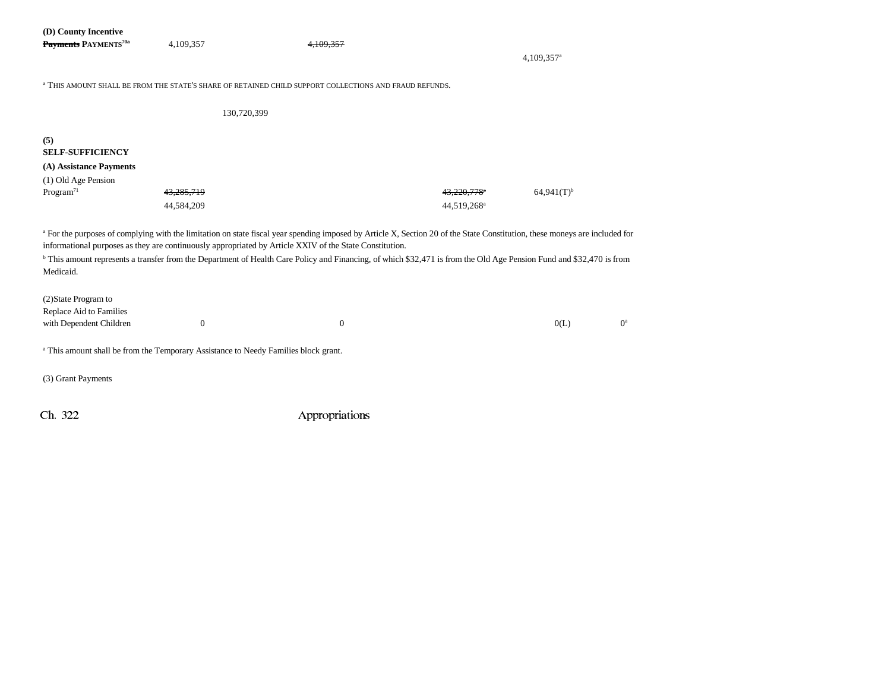| (D) County Incentive<br>Payments PAYMENTS <sup>70a</sup>                                                  | 4,109,357                                                                                                                                                                                                                                                                                                                                                                                                                                                                 | 4.109.357        |                                       | 4,109,357 <sup>a</sup>   |       |  |  |  |  |
|-----------------------------------------------------------------------------------------------------------|---------------------------------------------------------------------------------------------------------------------------------------------------------------------------------------------------------------------------------------------------------------------------------------------------------------------------------------------------------------------------------------------------------------------------------------------------------------------------|------------------|---------------------------------------|--------------------------|-------|--|--|--|--|
|                                                                                                           | <sup>a</sup> THIS AMOUNT SHALL BE FROM THE STATE'S SHARE OF RETAINED CHILD SUPPORT COLLECTIONS AND FRAUD REFUNDS.                                                                                                                                                                                                                                                                                                                                                         |                  |                                       |                          |       |  |  |  |  |
|                                                                                                           | 130,720,399                                                                                                                                                                                                                                                                                                                                                                                                                                                               |                  |                                       |                          |       |  |  |  |  |
| (5)<br><b>SELF-SUFFICIENCY</b><br>(A) Assistance Payments<br>(1) Old Age Pension<br>Program <sup>71</sup> | 43,285,719<br>44,584,209                                                                                                                                                                                                                                                                                                                                                                                                                                                  |                  | 43,220,778<br>44,519,268 <sup>a</sup> | $64,941(T)$ <sup>b</sup> |       |  |  |  |  |
| Medicaid.                                                                                                 | a For the purposes of complying with the limitation on state fiscal year spending imposed by Article X, Section 20 of the State Constitution, these moneys are included for<br>informational purposes as they are continuously appropriated by Article XXIV of the State Constitution.<br><sup>b</sup> This amount represents a transfer from the Department of Health Care Policy and Financing, of which \$32,471 is from the Old Age Pension Fund and \$32,470 is from |                  |                                       |                          |       |  |  |  |  |
| (2) State Program to<br>Replace Aid to Families<br>with Dependent Children                                | $\mathbf{0}$                                                                                                                                                                                                                                                                                                                                                                                                                                                              | $\boldsymbol{0}$ |                                       | 0(L)                     | $0^a$ |  |  |  |  |
|                                                                                                           | <sup>a</sup> This amount shall be from the Temporary Assistance to Needy Families block grant.                                                                                                                                                                                                                                                                                                                                                                            |                  |                                       |                          |       |  |  |  |  |
| (3) Grant Payments                                                                                        |                                                                                                                                                                                                                                                                                                                                                                                                                                                                           |                  |                                       |                          |       |  |  |  |  |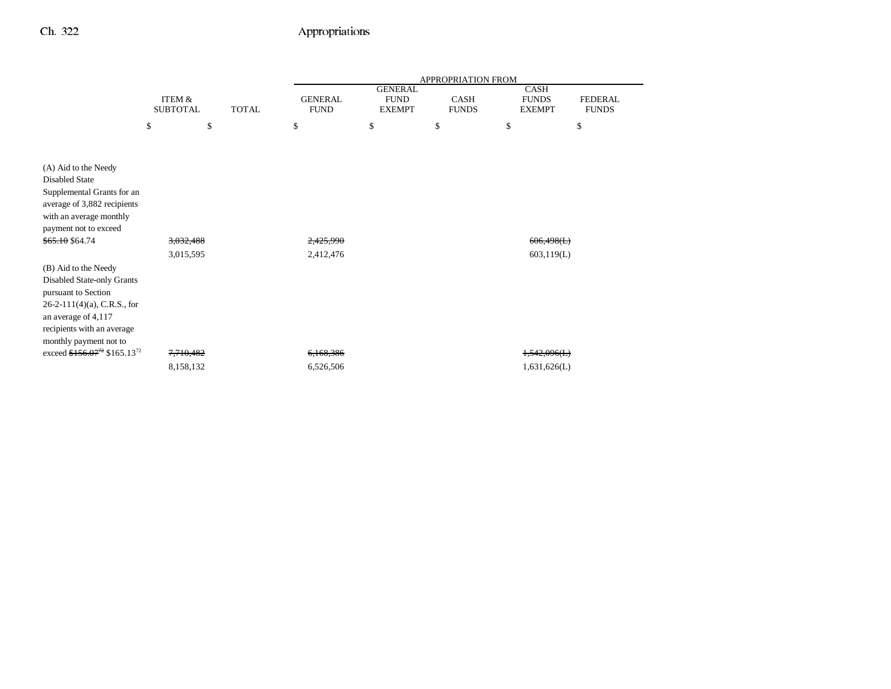|                                                                                                                                                                                            |                           |              | <b>APPROPRIATION FROM</b>     |                                                |                      |                                              |                                |  |
|--------------------------------------------------------------------------------------------------------------------------------------------------------------------------------------------|---------------------------|--------------|-------------------------------|------------------------------------------------|----------------------|----------------------------------------------|--------------------------------|--|
|                                                                                                                                                                                            | ITEM &<br><b>SUBTOTAL</b> | <b>TOTAL</b> | <b>GENERAL</b><br><b>FUND</b> | <b>GENERAL</b><br><b>FUND</b><br><b>EXEMPT</b> | CASH<br><b>FUNDS</b> | <b>CASH</b><br><b>FUNDS</b><br><b>EXEMPT</b> | <b>FEDERAL</b><br><b>FUNDS</b> |  |
|                                                                                                                                                                                            | \$<br>\$                  |              | \$                            | \$                                             | \$                   | \$                                           | \$                             |  |
|                                                                                                                                                                                            |                           |              |                               |                                                |                      |                                              |                                |  |
| (A) Aid to the Needy<br><b>Disabled State</b><br>Supplemental Grants for an<br>average of 3,882 recipients<br>with an average monthly<br>payment not to exceed<br>\$65.10 \$64.74          | 3,032,488<br>3,015,595    |              | 2,425,990<br>2,412,476        |                                                |                      | 606,498(L)<br>603,119(L)                     |                                |  |
| (B) Aid to the Needy<br>Disabled State-only Grants<br>pursuant to Section<br>$26-2-111(4)(a)$ , C.R.S., for<br>an average of 4,117<br>recipients with an average<br>monthly payment not to |                           |              |                               |                                                |                      |                                              |                                |  |
| exceed $$156.07^{72}$ \$165.13 <sup>72</sup>                                                                                                                                               | 7,710,482                 |              | 6,168,386                     |                                                |                      | 1,542,096(L)                                 |                                |  |
|                                                                                                                                                                                            | 8,158,132                 |              | 6,526,506                     |                                                |                      | 1,631,626(L)                                 |                                |  |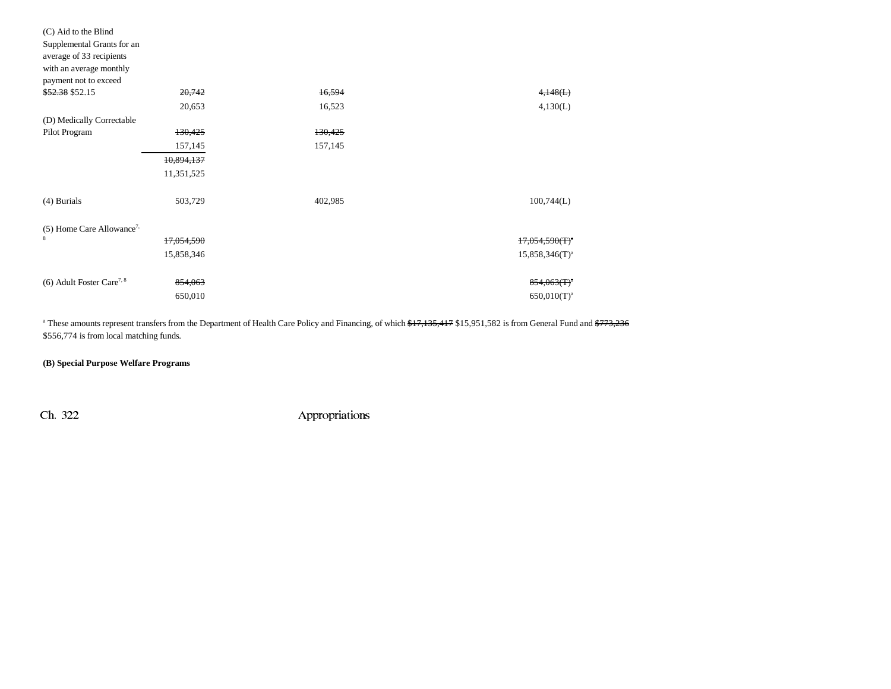| (C) Aid to the Blind                    |            |         |                            |
|-----------------------------------------|------------|---------|----------------------------|
| Supplemental Grants for an              |            |         |                            |
| average of 33 recipients                |            |         |                            |
| with an average monthly                 |            |         |                            |
| payment not to exceed                   |            |         |                            |
| \$52.38 \$52.15                         | 20,742     | 16,594  | 4,148(L)                   |
|                                         | 20,653     | 16,523  | 4,130(L)                   |
| (D) Medically Correctable               |            |         |                            |
| Pilot Program                           | 130,425    | 130,425 |                            |
|                                         | 157,145    | 157,145 |                            |
|                                         | 10,894,137 |         |                            |
|                                         | 11,351,525 |         |                            |
| $(4)$ Burials                           | 503,729    | 402,985 | 100,744(L)                 |
| $(5)$ Home Care Allowance <sup>7,</sup> |            |         |                            |
| 8                                       | 17,054,590 |         | $17,054,590(T)^a$          |
|                                         | 15,858,346 |         | $15,858,346(T)^a$          |
| $(6)$ Adult Foster Care <sup>7, 8</sup> | 854,063    |         | $854,063$ (T) <sup>a</sup> |
|                                         | 650,010    |         | $650,010(T)^a$             |

<sup>a</sup> These amounts represent transfers from the Department of Health Care Policy and Financing, of which \$17,135,417 \$15,951,582 is from General Fund and \$773,236 \$556,774 is from local matching funds.

**(B) Special Purpose Welfare Programs**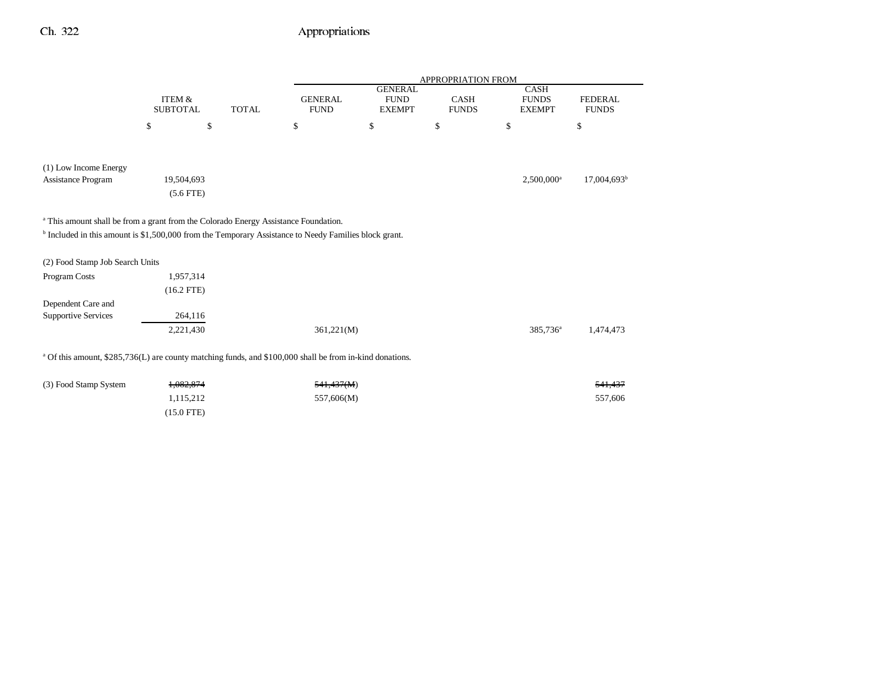|                                                                                                                     |                           |              | <b>APPROPRIATION FROM</b>     |                                                |                             |                                              |                                |  |
|---------------------------------------------------------------------------------------------------------------------|---------------------------|--------------|-------------------------------|------------------------------------------------|-----------------------------|----------------------------------------------|--------------------------------|--|
|                                                                                                                     | ITEM &<br><b>SUBTOTAL</b> | <b>TOTAL</b> | <b>GENERAL</b><br><b>FUND</b> | <b>GENERAL</b><br><b>FUND</b><br><b>EXEMPT</b> | <b>CASH</b><br><b>FUNDS</b> | <b>CASH</b><br><b>FUNDS</b><br><b>EXEMPT</b> | <b>FEDERAL</b><br><b>FUNDS</b> |  |
|                                                                                                                     | \$                        | \$           | \$                            | \$                                             | \$                          | \$                                           | \$                             |  |
|                                                                                                                     |                           |              |                               |                                                |                             |                                              |                                |  |
| (1) Low Income Energy                                                                                               |                           |              |                               |                                                |                             |                                              |                                |  |
| Assistance Program                                                                                                  | 19,504,693                |              |                               |                                                |                             | $2,500,000$ <sup>a</sup>                     | $17,004,693^{\rm b}$           |  |
|                                                                                                                     | $(5.6$ FTE)               |              |                               |                                                |                             |                                              |                                |  |
| <sup>a</sup> This amount shall be from a grant from the Colorado Energy Assistance Foundation.                      |                           |              |                               |                                                |                             |                                              |                                |  |
| <sup>b</sup> Included in this amount is \$1,500,000 from the Temporary Assistance to Needy Families block grant.    |                           |              |                               |                                                |                             |                                              |                                |  |
| (2) Food Stamp Job Search Units                                                                                     |                           |              |                               |                                                |                             |                                              |                                |  |
| Program Costs                                                                                                       | 1,957,314                 |              |                               |                                                |                             |                                              |                                |  |
|                                                                                                                     | $(16.2$ FTE)              |              |                               |                                                |                             |                                              |                                |  |
| Dependent Care and                                                                                                  |                           |              |                               |                                                |                             |                                              |                                |  |
| <b>Supportive Services</b>                                                                                          | 264,116                   |              |                               |                                                |                             |                                              |                                |  |
|                                                                                                                     | 2,221,430                 |              | 361,221(M)                    |                                                |                             | 385,736 <sup>a</sup>                         | 1,474,473                      |  |
|                                                                                                                     |                           |              |                               |                                                |                             |                                              |                                |  |
| <sup>a</sup> Of this amount, \$285,736(L) are county matching funds, and \$100,000 shall be from in-kind donations. |                           |              |                               |                                                |                             |                                              |                                |  |

(3) Food Stamp System  $\frac{1,082,874}{1,082,874}$  541,437(M) 1,115,212 557,606(M) 557,606(M) 557,606 (15.0 FTE)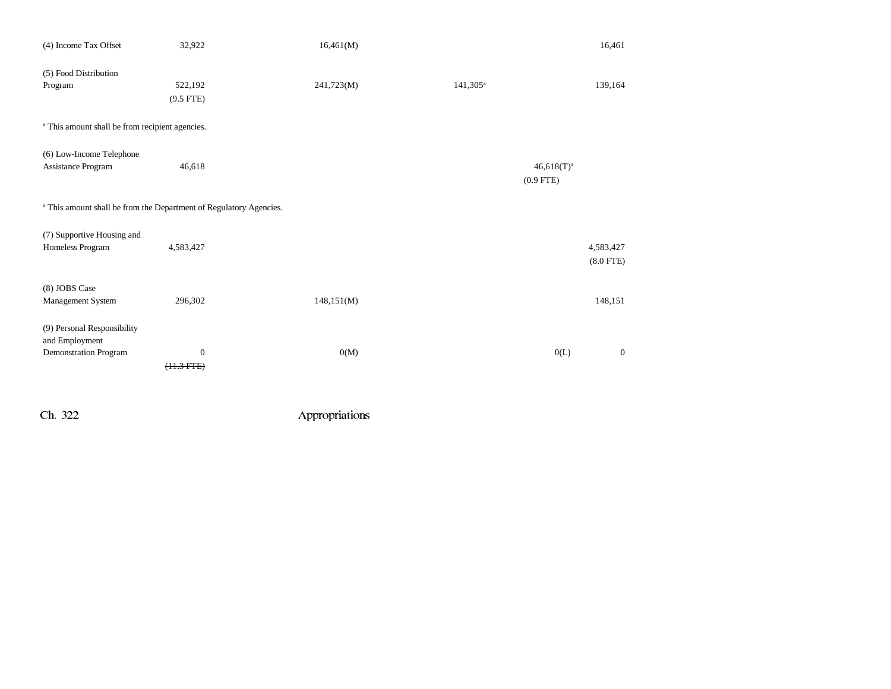| (4) Income Tax Offset                                                         | 32,922           | 16,461(M)  |             |               | 16,461       |
|-------------------------------------------------------------------------------|------------------|------------|-------------|---------------|--------------|
| (5) Food Distribution                                                         |                  |            |             |               |              |
| Program                                                                       | 522,192          | 241,723(M) | $141,305^a$ |               | 139,164      |
|                                                                               | $(9.5$ FTE)      |            |             |               |              |
| <sup>a</sup> This amount shall be from recipient agencies.                    |                  |            |             |               |              |
| (6) Low-Income Telephone                                                      |                  |            |             |               |              |
| Assistance Program                                                            | 46,618           |            |             | $46,618(T)^a$ |              |
|                                                                               |                  |            |             | $(0.9$ FTE)   |              |
|                                                                               |                  |            |             |               |              |
| <sup>a</sup> This amount shall be from the Department of Regulatory Agencies. |                  |            |             |               |              |
| (7) Supportive Housing and                                                    |                  |            |             |               |              |
| Homeless Program                                                              | 4,583,427        |            |             |               | 4,583,427    |
|                                                                               |                  |            |             |               | $(8.0$ FTE)  |
|                                                                               |                  |            |             |               |              |
| (8) JOBS Case                                                                 |                  |            |             |               |              |
| Management System                                                             | 296,302          | 148,151(M) |             |               | 148,151      |
|                                                                               |                  |            |             |               |              |
| (9) Personal Responsibility                                                   |                  |            |             |               |              |
| and Employment                                                                |                  |            |             |               |              |
| <b>Demonstration Program</b>                                                  | $\boldsymbol{0}$ | 0(M)       |             | 0(L)          | $\mathbf{0}$ |
|                                                                               | $(11.3 FTE)$     |            |             |               |              |
|                                                                               |                  |            |             |               |              |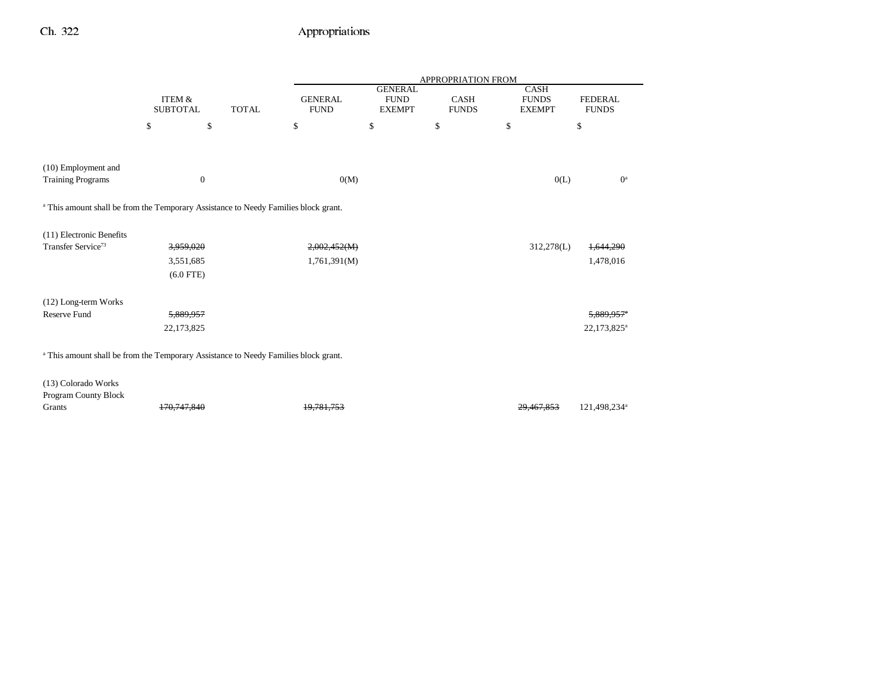|                                                                                                |                                      |              | APPROPRIATION FROM            |                                                |                             |                                              |                                |  |
|------------------------------------------------------------------------------------------------|--------------------------------------|--------------|-------------------------------|------------------------------------------------|-----------------------------|----------------------------------------------|--------------------------------|--|
|                                                                                                | <b>ITEM &amp;</b><br><b>SUBTOTAL</b> | <b>TOTAL</b> | <b>GENERAL</b><br><b>FUND</b> | <b>GENERAL</b><br><b>FUND</b><br><b>EXEMPT</b> | <b>CASH</b><br><b>FUNDS</b> | <b>CASH</b><br><b>FUNDS</b><br><b>EXEMPT</b> | <b>FEDERAL</b><br><b>FUNDS</b> |  |
|                                                                                                | $\mathbb{S}$<br>\$                   |              | \$                            | \$                                             | \$                          | \$                                           | \$                             |  |
|                                                                                                |                                      |              |                               |                                                |                             |                                              |                                |  |
| (10) Employment and<br><b>Training Programs</b>                                                | $\mathbf{0}$                         |              | 0(M)                          |                                                |                             |                                              | $0^a$<br>0(L)                  |  |
| <sup>a</sup> This amount shall be from the Temporary Assistance to Needy Families block grant. |                                      |              |                               |                                                |                             |                                              |                                |  |
| (11) Electronic Benefits                                                                       |                                      |              |                               |                                                |                             |                                              |                                |  |
| Transfer Service <sup>73</sup>                                                                 | 3,959,020                            |              | 2,002,452(M)                  |                                                |                             | 312,278(L)                                   | 1,644,290                      |  |
|                                                                                                | 3,551,685                            |              | 1,761,391(M)                  |                                                |                             |                                              | 1,478,016                      |  |
|                                                                                                | $(6.0$ FTE)                          |              |                               |                                                |                             |                                              |                                |  |
| (12) Long-term Works                                                                           |                                      |              |                               |                                                |                             |                                              |                                |  |
| Reserve Fund                                                                                   | 5,889,957                            |              |                               |                                                |                             |                                              | 5,889,957                      |  |
|                                                                                                | 22,173,825                           |              |                               |                                                |                             |                                              | 22,173,825 <sup>a</sup>        |  |
| <sup>a</sup> This amount shall be from the Temporary Assistance to Needy Families block grant. |                                      |              |                               |                                                |                             |                                              |                                |  |
| (13) Colorado Works<br>Program County Block                                                    |                                      |              |                               |                                                |                             |                                              |                                |  |
| Grants                                                                                         |                                      |              |                               |                                                |                             |                                              | 121,498,234 <sup>a</sup>       |  |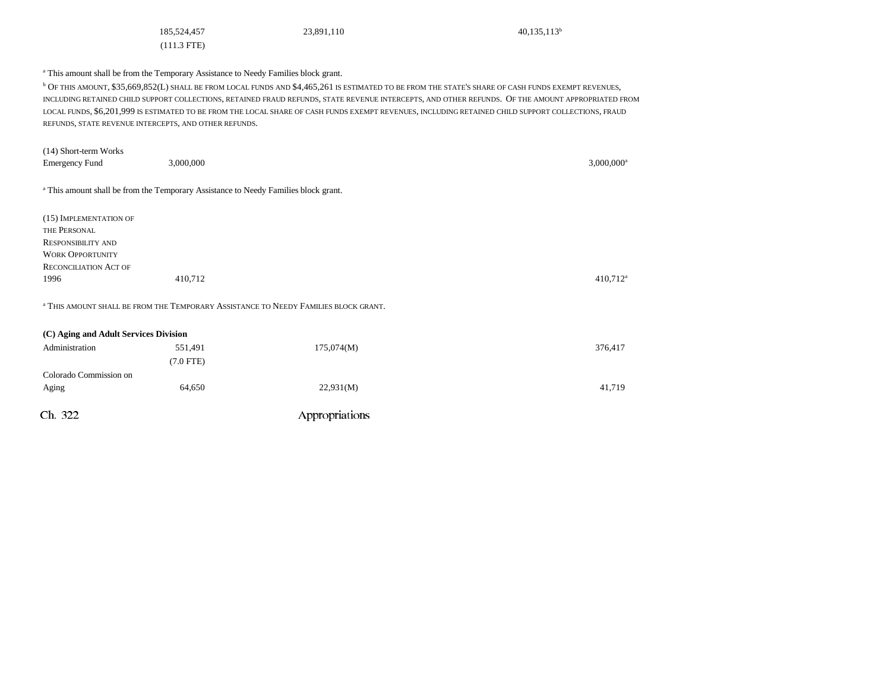(111.3 FTE)

185,524,457 23,891,110 40,135,113<sup>b</sup>

<sup>a</sup> This amount shall be from the Temporary Assistance to Needy Families block grant.

b OF THIS AMOUNT, \$35,669,852(L) SHALL BE FROM LOCAL FUNDS AND \$4,465,261 IS ESTIMATED TO BE FROM THE STATE'S SHARE OF CASH FUNDS EXEMPT REVENUES, INCLUDING RETAINED CHILD SUPPORT COLLECTIONS, RETAINED FRAUD REFUNDS, STATE REVENUE INTERCEPTS, AND OTHER REFUNDS. OF THE AMOUNT APPROPRIATED FROM LOCAL FUNDS, \$6,201,999 IS ESTIMATED TO BE FROM THE LOCAL SHARE OF CASH FUNDS EXEMPT REVENUES, INCLUDING RETAINED CHILD SUPPORT COLLECTIONS, FRAUD REFUNDS, STATE REVENUE INTERCEPTS, AND OTHER REFUNDS.

| (14) Short-term Works<br><b>Emergency Fund</b> | 3,000,000                                                                                      |                                                                                                | $3,000,000$ <sup>a</sup> |
|------------------------------------------------|------------------------------------------------------------------------------------------------|------------------------------------------------------------------------------------------------|--------------------------|
|                                                | <sup>a</sup> This amount shall be from the Temporary Assistance to Needy Families block grant. |                                                                                                |                          |
| (15) IMPLEMENTATION OF                         |                                                                                                |                                                                                                |                          |
| THE PERSONAL                                   |                                                                                                |                                                                                                |                          |
| <b>RESPONSIBILITY AND</b>                      |                                                                                                |                                                                                                |                          |
| <b>WORK OPPORTUNITY</b>                        |                                                                                                |                                                                                                |                          |
| <b>RECONCILIATION ACT OF</b>                   |                                                                                                |                                                                                                |                          |
| 1996                                           | 410,712                                                                                        |                                                                                                | $410,712^a$              |
|                                                |                                                                                                | <sup>a</sup> THIS AMOUNT SHALL BE FROM THE TEMPORARY ASSISTANCE TO NEEDY FAMILIES BLOCK GRANT. |                          |
| (C) Aging and Adult Services Division          |                                                                                                |                                                                                                |                          |
| Administration                                 | 551,491                                                                                        | 175,074(M)                                                                                     | 376,417                  |
|                                                | $(7.0$ FTE)                                                                                    |                                                                                                |                          |

Ch. 322 Appropriations Colorado Commission on Aging 64,650 66,650 22,931(M) 41,719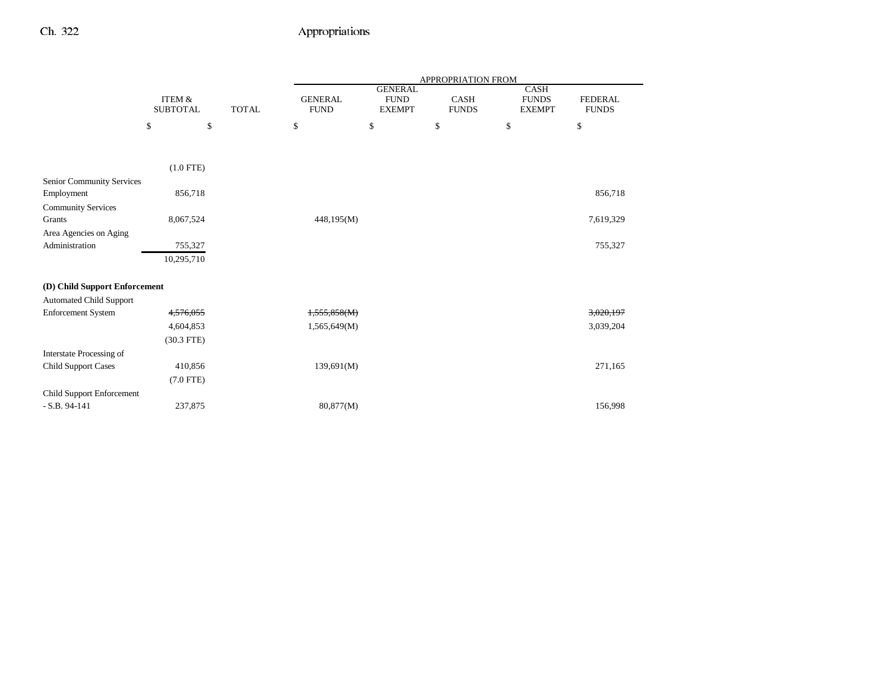|                                          |                                      |              | APPROPRIATION FROM            |                                                |                             |                                       |                                |
|------------------------------------------|--------------------------------------|--------------|-------------------------------|------------------------------------------------|-----------------------------|---------------------------------------|--------------------------------|
|                                          | <b>ITEM &amp;</b><br><b>SUBTOTAL</b> | <b>TOTAL</b> | <b>GENERAL</b><br><b>FUND</b> | <b>GENERAL</b><br><b>FUND</b><br><b>EXEMPT</b> | <b>CASH</b><br><b>FUNDS</b> | CASH<br><b>FUNDS</b><br><b>EXEMPT</b> | <b>FEDERAL</b><br><b>FUNDS</b> |
|                                          | \$<br>\$                             |              | \$                            | \$                                             | \$                          | \$                                    | \$                             |
|                                          |                                      |              |                               |                                                |                             |                                       |                                |
|                                          | $(1.0$ FTE)                          |              |                               |                                                |                             |                                       |                                |
| Senior Community Services                |                                      |              |                               |                                                |                             |                                       |                                |
| Employment                               | 856,718                              |              |                               |                                                |                             |                                       | 856,718                        |
| <b>Community Services</b><br>Grants      | 8,067,524                            |              | 448,195(M)                    |                                                |                             |                                       | 7,619,329                      |
| Area Agencies on Aging<br>Administration | 755,327                              |              |                               |                                                |                             |                                       | 755,327                        |
|                                          | 10,295,710                           |              |                               |                                                |                             |                                       |                                |
|                                          |                                      |              |                               |                                                |                             |                                       |                                |
| (D) Child Support Enforcement            |                                      |              |                               |                                                |                             |                                       |                                |
| <b>Automated Child Support</b>           |                                      |              |                               |                                                |                             |                                       |                                |
| <b>Enforcement System</b>                | 4,576,055                            |              | 1,555,858(M)                  |                                                |                             |                                       | 3,020,197                      |
|                                          | 4,604,853                            |              | 1,565,649(M)                  |                                                |                             |                                       | 3,039,204                      |
|                                          | $(30.3$ FTE)                         |              |                               |                                                |                             |                                       |                                |
| Interstate Processing of                 |                                      |              |                               |                                                |                             |                                       |                                |
| <b>Child Support Cases</b>               | 410,856                              |              | 139,691(M)                    |                                                |                             |                                       | 271,165                        |
|                                          | $(7.0$ FTE)                          |              |                               |                                                |                             |                                       |                                |
| Child Support Enforcement                |                                      |              |                               |                                                |                             |                                       |                                |
| $-S.B. 94-141$                           | 237,875                              |              | 80,877(M)                     |                                                |                             |                                       | 156,998                        |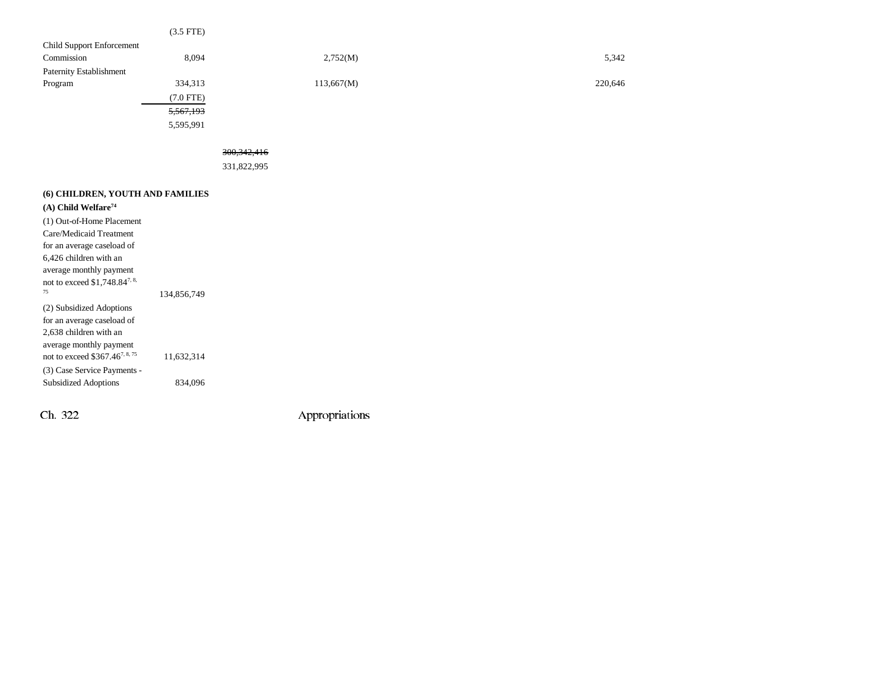|                                           | $(3.5$ FTE) |               |         |
|-------------------------------------------|-------------|---------------|---------|
| Child Support Enforcement                 |             |               |         |
| Commission                                | 8,094       | 2,752(M)      | 5,342   |
| Paternity Establishment                   |             |               |         |
| Program                                   | 334,313     | 113,667(M)    | 220,646 |
|                                           | $(7.0$ FTE) |               |         |
|                                           | 5,567,193   |               |         |
|                                           | 5,595,991   |               |         |
|                                           |             |               |         |
|                                           |             | 300, 342, 416 |         |
|                                           |             | 331,822,995   |         |
|                                           |             |               |         |
| (6) CHILDREN, YOUTH AND FAMILIES          |             |               |         |
| $(A)$ Child Welfare <sup>74</sup>         |             |               |         |
|                                           |             |               |         |
| (1) Out-of-Home Placement                 |             |               |         |
| Care/Medicaid Treatment                   |             |               |         |
| for an average caseload of                |             |               |         |
| 6,426 children with an                    |             |               |         |
| average monthly payment                   |             |               |         |
| not to exceed \$1,748.84 <sup>7, 8,</sup> |             |               |         |
| 75                                        | 134,856,749 |               |         |
| (2) Subsidized Adoptions                  |             |               |         |

for an average caseload of 2,638 children with an average monthly payment

(3) Case Service Payments -

not to exceed  $$367.46^{7,8.75}$  11,632,314

Subsidized Adoptions 834,096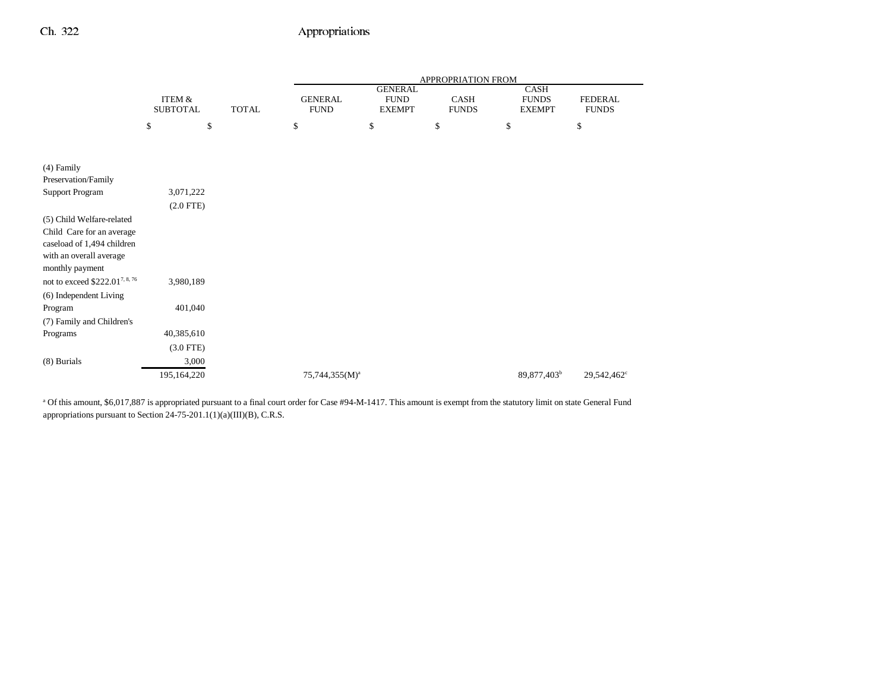|                                                | <b>APPROPRIATION FROM</b>  |                                       |                                |
|------------------------------------------------|----------------------------|---------------------------------------|--------------------------------|
| <b>GENERAL</b><br><b>FUND</b><br><b>EXEMPT</b> | CASH<br><b>FUNDS</b>       | CASH<br><b>FUNDS</b><br><b>EXEMPT</b> | <b>FEDERAL</b><br><b>FUNDS</b> |
| \$                                             | \$                         | \$                                    | \$                             |
|                                                |                            |                                       |                                |
|                                                |                            |                                       |                                |
|                                                |                            |                                       |                                |
|                                                |                            |                                       |                                |
|                                                |                            |                                       |                                |
|                                                |                            |                                       |                                |
|                                                |                            |                                       |                                |
|                                                |                            |                                       |                                |
|                                                |                            |                                       |                                |
|                                                |                            |                                       |                                |
|                                                |                            |                                       |                                |
|                                                |                            |                                       |                                |
|                                                |                            |                                       |                                |
|                                                |                            |                                       |                                |
|                                                |                            |                                       |                                |
|                                                |                            |                                       |                                |
|                                                |                            |                                       |                                |
|                                                |                            | 89,877,403 <sup>b</sup>               | 29,542,462°                    |
|                                                | 75,744,355(M) <sup>a</sup> |                                       |                                |

<sup>a</sup> Of this amount, \$6,017,887 is appropriated pursuant to a final court order for Case #94-M-1417. This amount is exempt from the statutory limit on state General Fund appropriations pursuant to Section 24-75-201.1(1)(a)(III)(B), C.R.S.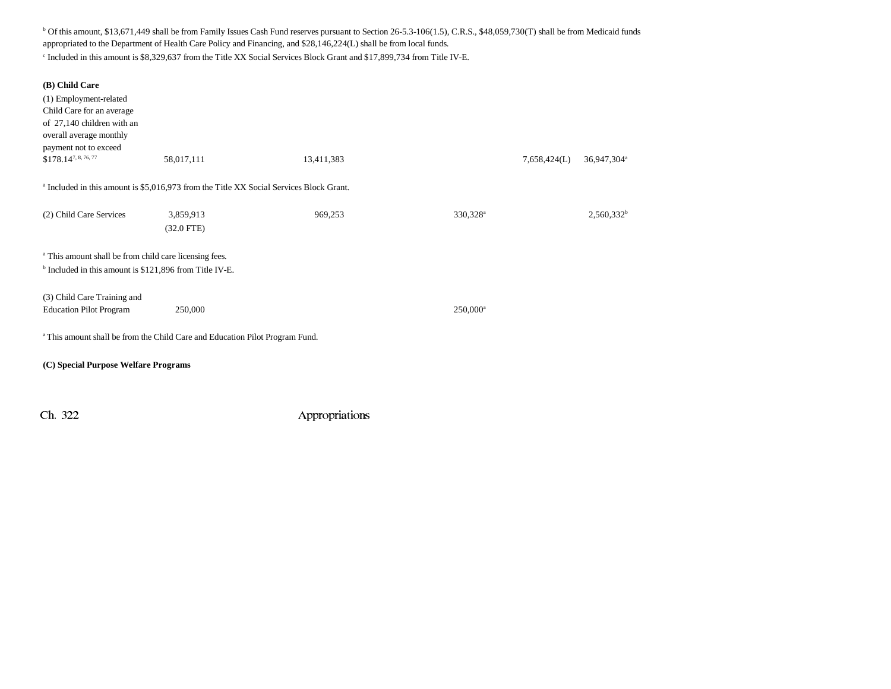b Of this amount, \$13,671,449 shall be from Family Issues Cash Fund reserves pursuant to Section 26-5.3-106(1.5), C.R.S., \$48,059,730(T) shall be from Medicaid funds appropriated to the Department of Health Care Policy and Financing, and \$28,146,224(L) shall be from local funds.

c Included in this amount is \$8,329,637 from the Title XX Social Services Block Grant and \$17,899,734 from Title IV-E.

| (B) Child Care<br>(1) Employment-related<br>Child Care for an average<br>of 27,140 children with an<br>overall average monthly<br>payment not to exceed<br>\$178.147, 8, 76, 77 | 58,017,111                                                                                         | 13,411,383 |                      | 7,658,424(L) | 36,947,304 <sup>a</sup> |  |  |  |
|---------------------------------------------------------------------------------------------------------------------------------------------------------------------------------|----------------------------------------------------------------------------------------------------|------------|----------------------|--------------|-------------------------|--|--|--|
|                                                                                                                                                                                 | <sup>a</sup> Included in this amount is \$5,016,973 from the Title XX Social Services Block Grant. |            |                      |              |                         |  |  |  |
| (2) Child Care Services                                                                                                                                                         | 3,859,913<br>$(32.0$ FTE)                                                                          | 969,253    | 330,328 <sup>a</sup> |              | $2,560,332^b$           |  |  |  |
| <sup>a</sup> This amount shall be from child care licensing fees.<br><sup>b</sup> Included in this amount is \$121,896 from Title IV-E.                                         |                                                                                                    |            |                      |              |                         |  |  |  |
| (3) Child Care Training and<br><b>Education Pilot Program</b>                                                                                                                   | 250,000                                                                                            |            | $250,000^{\rm a}$    |              |                         |  |  |  |
| <sup>a</sup> This amount shall be from the Child Care and Education Pilot Program Fund.                                                                                         |                                                                                                    |            |                      |              |                         |  |  |  |
|                                                                                                                                                                                 | (C) Special Purpose Welfare Programs                                                               |            |                      |              |                         |  |  |  |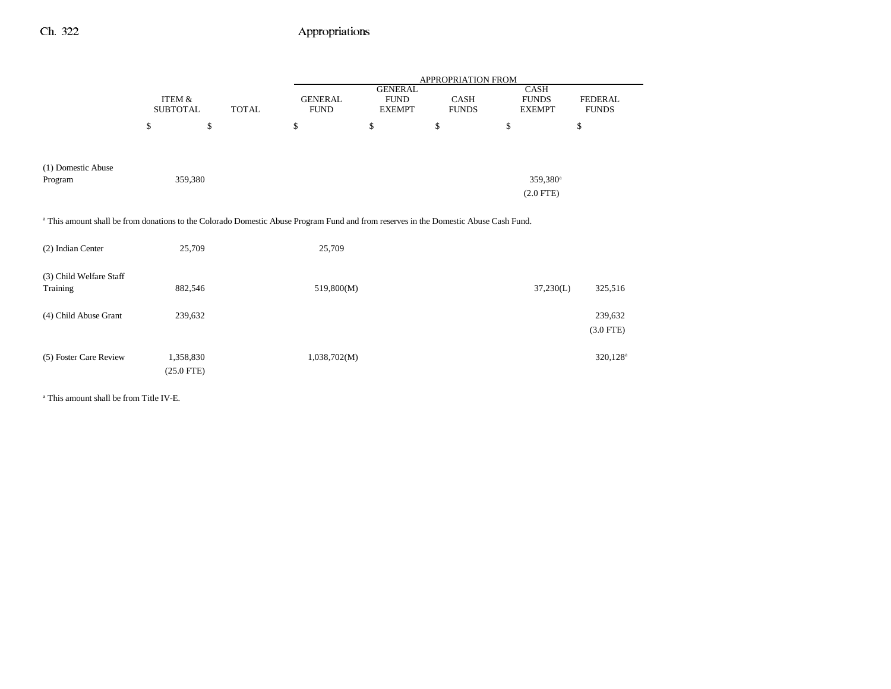|                                                                                                                                                 |                           |              | APPROPRIATION FROM            |                                                |                      |                                              |                                |  |  |
|-------------------------------------------------------------------------------------------------------------------------------------------------|---------------------------|--------------|-------------------------------|------------------------------------------------|----------------------|----------------------------------------------|--------------------------------|--|--|
|                                                                                                                                                 | ITEM &<br><b>SUBTOTAL</b> | <b>TOTAL</b> | <b>GENERAL</b><br><b>FUND</b> | <b>GENERAL</b><br><b>FUND</b><br><b>EXEMPT</b> | CASH<br><b>FUNDS</b> | <b>CASH</b><br><b>FUNDS</b><br><b>EXEMPT</b> | <b>FEDERAL</b><br><b>FUNDS</b> |  |  |
|                                                                                                                                                 | \$<br>\$                  |              | \$                            | \$                                             | \$                   | \$                                           | \$                             |  |  |
| (1) Domestic Abuse<br>Program                                                                                                                   | 359,380                   |              |                               |                                                |                      | 359,380 <sup>a</sup><br>$(2.0$ FTE $)$       |                                |  |  |
| <sup>a</sup> This amount shall be from donations to the Colorado Domestic Abuse Program Fund and from reserves in the Domestic Abuse Cash Fund. |                           |              |                               |                                                |                      |                                              |                                |  |  |
| (2) Indian Center                                                                                                                               | 25,709                    |              | 25,709                        |                                                |                      |                                              |                                |  |  |
| (3) Child Welfare Staff<br>Training                                                                                                             | 882,546                   |              | 519,800(M)                    |                                                |                      | 37,230(L)                                    | 325,516                        |  |  |
| (4) Child Abuse Grant                                                                                                                           | 239,632                   |              |                               |                                                |                      |                                              | 239,632<br>$(3.0$ FTE)         |  |  |
| (5) Foster Care Review                                                                                                                          | 1,358,830                 |              | 1,038,702(M)                  |                                                |                      |                                              | $320,128^a$                    |  |  |

a This amount shall be from Title IV-E.

(25.0 FTE)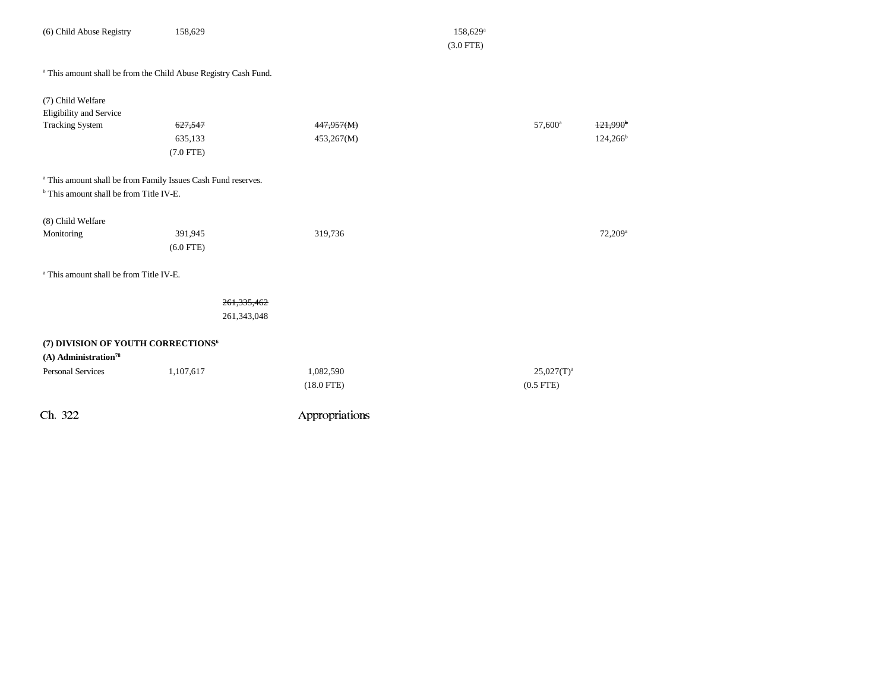| (6) Child Abuse Registry                                                                                                       | 158,629                      |                           | $158,629$ <sup>a</sup><br>$(3.0$ FTE) |                              |                                       |
|--------------------------------------------------------------------------------------------------------------------------------|------------------------------|---------------------------|---------------------------------------|------------------------------|---------------------------------------|
| <sup>a</sup> This amount shall be from the Child Abuse Registry Cash Fund.                                                     |                              |                           |                                       |                              |                                       |
| (7) Child Welfare<br>Eligibility and Service<br><b>Tracking System</b>                                                         | 627,547<br>635,133           | 447,957(M)<br>453,267(M)  |                                       | 57,600 <sup>a</sup>          | $+21,990$ <sup>b</sup><br>$124,266^b$ |
| <sup>a</sup> This amount shall be from Family Issues Cash Fund reserves.<br><sup>b</sup> This amount shall be from Title IV-E. | $(7.0$ FTE)                  |                           |                                       |                              |                                       |
| (8) Child Welfare<br>Monitoring                                                                                                | 391,945<br>$(6.0$ FTE)       | 319,736                   |                                       |                              | 72,209 <sup>a</sup>                   |
| <sup>a</sup> This amount shall be from Title IV-E.                                                                             |                              |                           |                                       |                              |                                       |
|                                                                                                                                | 261, 335, 462<br>261,343,048 |                           |                                       |                              |                                       |
| (7) DIVISION OF YOUTH CORRECTIONS <sup>6</sup><br>$(A)$ Administration <sup>78</sup>                                           |                              |                           |                                       |                              |                                       |
| <b>Personal Services</b>                                                                                                       | 1,107,617                    | 1,082,590<br>$(18.0$ FTE) |                                       | $25,027(T)^a$<br>$(0.5$ FTE) |                                       |
| Ch. 322                                                                                                                        |                              | Appropriations            |                                       |                              |                                       |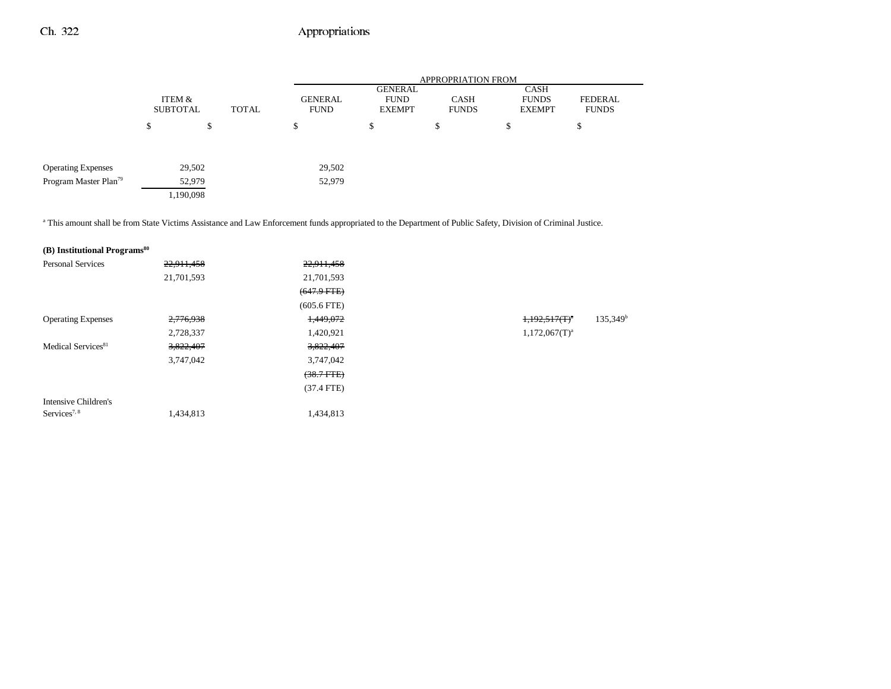|                                   |               |                           |       |                               | <b>APPROPRIATION FROM</b>               |                             |                                       |                         |  |  |
|-----------------------------------|---------------|---------------------------|-------|-------------------------------|-----------------------------------------|-----------------------------|---------------------------------------|-------------------------|--|--|
|                                   |               | ITEM &<br><b>SUBTOTAL</b> | TOTAL | <b>GENERAL</b><br><b>FUND</b> | GENERAL<br><b>FUND</b><br><b>EXEMPT</b> | <b>CASH</b><br><b>FUNDS</b> | CASH<br><b>FUNDS</b><br><b>EXEMPT</b> | FEDERAL<br><b>FUNDS</b> |  |  |
|                                   | <sup>\$</sup> | \$                        |       | \$                            | \$                                      | \$                          | \$                                    | \$                      |  |  |
|                                   |               |                           |       |                               |                                         |                             |                                       |                         |  |  |
| <b>Operating Expenses</b>         |               | 29,502                    |       | 29,502                        |                                         |                             |                                       |                         |  |  |
| Program Master Plan <sup>79</sup> |               | 52,979                    |       | 52,979                        |                                         |                             |                                       |                         |  |  |
|                                   |               | 1,190,098                 |       |                               |                                         |                             |                                       |                         |  |  |
|                                   |               |                           |       |                               |                                         |                             |                                       |                         |  |  |

a This amount shall be from State Victims Assistance and Law Enforcement funds appropriated to the Department of Public Safety, Division of Criminal Justice.

| (B) Institutional Programs <sup>80</sup> |            |                 |                    |             |
|------------------------------------------|------------|-----------------|--------------------|-------------|
| <b>Personal Services</b>                 | 22,911,458 | 22,911,458      |                    |             |
|                                          | 21,701,593 | 21,701,593      |                    |             |
|                                          |            | $(647.9$ FTE)   |                    |             |
|                                          |            | $(605.6$ FTE)   |                    |             |
| <b>Operating Expenses</b>                | 2,776,938  | 1,449,072       | $1,192,517(T)^4$   | $135,349^b$ |
|                                          | 2,728,337  | 1,420,921       | $1,172,067(T)^{a}$ |             |
| Medical Services <sup>81</sup>           | 3,822,407  | 3,822,407       |                    |             |
|                                          | 3,747,042  | 3,747,042       |                    |             |
|                                          |            | $(38.7$ FTE $)$ |                    |             |
|                                          |            | $(37.4$ FTE)    |                    |             |
| Intensive Children's                     |            |                 |                    |             |
| Services <sup>7, 8</sup>                 | 1,434,813  | 1,434,813       |                    |             |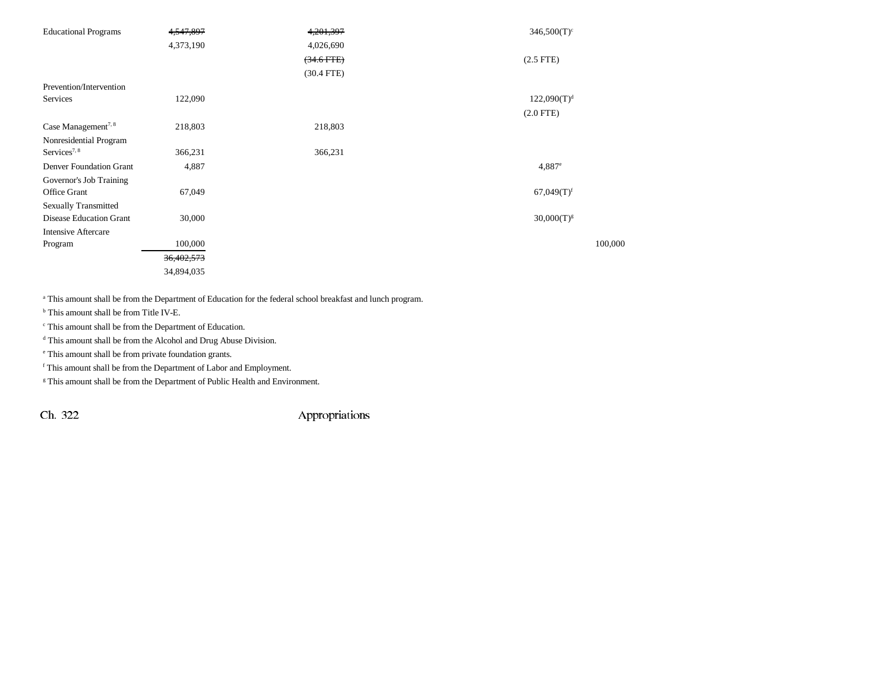| <b>Educational Programs</b>     | 4,547,897  | 4,201,397    | $346,500(T)$ <sup>c</sup> |
|---------------------------------|------------|--------------|---------------------------|
|                                 | 4,373,190  | 4,026,690    |                           |
|                                 |            | $(34.6$ FTE) | $(2.5$ FTE $)$            |
|                                 |            | $(30.4$ FTE) |                           |
| Prevention/Intervention         |            |              |                           |
| Services                        | 122,090    |              | 122,090(T) <sup>d</sup>   |
|                                 |            |              | $(2.0$ FTE)               |
| Case Management <sup>7, 8</sup> | 218,803    | 218,803      |                           |
| Nonresidential Program          |            |              |                           |
| Services <sup>7, 8</sup>        | 366,231    | 366,231      |                           |
| <b>Denver Foundation Grant</b>  | 4,887      |              | $4,887$ <sup>e</sup>      |
| Governor's Job Training         |            |              |                           |
| Office Grant                    | 67,049     |              | $67,049(T)$ <sup>f</sup>  |
| <b>Sexually Transmitted</b>     |            |              |                           |
| <b>Disease Education Grant</b>  | 30,000     |              | $30,000(T)^{g}$           |
| <b>Intensive Aftercare</b>      |            |              |                           |
| Program                         | 100,000    |              | 100,000                   |
|                                 | 36,402,573 |              |                           |
|                                 | 34,894,035 |              |                           |

a This amount shall be from the Department of Education for the federal school breakfast and lunch program.

b This amount shall be from Title IV-E.

c This amount shall be from the Department of Education.

d This amount shall be from the Alcohol and Drug Abuse Division.

e This amount shall be from private foundation grants.

f This amount shall be from the Department of Labor and Employment.

<sup>g</sup> This amount shall be from the Department of Public Health and Environment.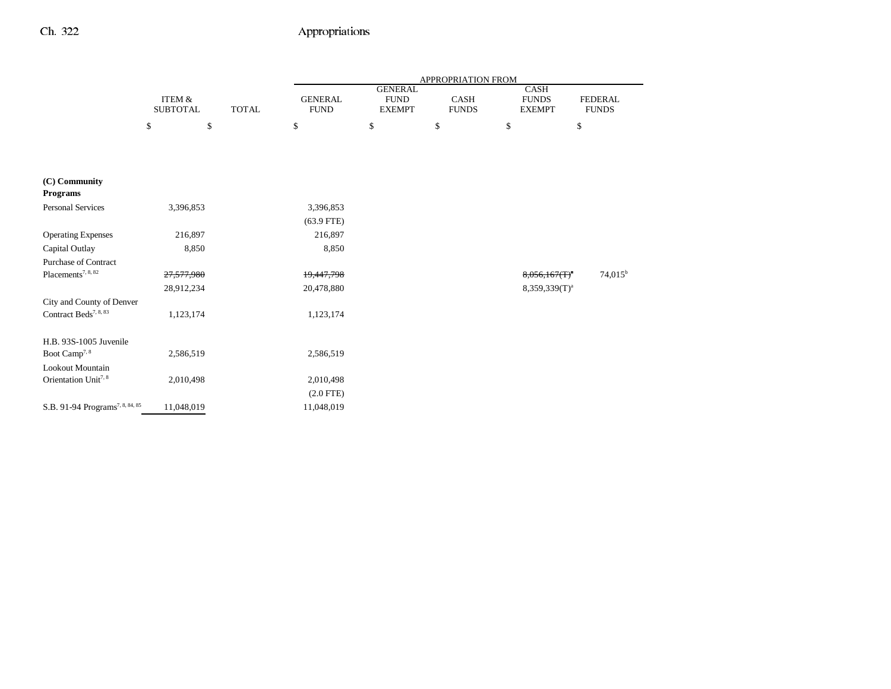|                                             |                                      |              | APPROPRIATION FROM            |                                                |                      |                                       |                                |  |
|---------------------------------------------|--------------------------------------|--------------|-------------------------------|------------------------------------------------|----------------------|---------------------------------------|--------------------------------|--|
|                                             | <b>ITEM &amp;</b><br><b>SUBTOTAL</b> | <b>TOTAL</b> | <b>GENERAL</b><br><b>FUND</b> | <b>GENERAL</b><br><b>FUND</b><br><b>EXEMPT</b> | CASH<br><b>FUNDS</b> | CASH<br><b>FUNDS</b><br><b>EXEMPT</b> | <b>FEDERAL</b><br><b>FUNDS</b> |  |
|                                             | \$<br>\$                             |              | \$                            | \$                                             | \$                   | \$                                    | \$                             |  |
|                                             |                                      |              |                               |                                                |                      |                                       |                                |  |
| (C) Community                               |                                      |              |                               |                                                |                      |                                       |                                |  |
| <b>Programs</b>                             |                                      |              |                               |                                                |                      |                                       |                                |  |
| <b>Personal Services</b>                    | 3,396,853                            |              | 3,396,853                     |                                                |                      |                                       |                                |  |
|                                             |                                      |              | $(63.9$ FTE)                  |                                                |                      |                                       |                                |  |
| <b>Operating Expenses</b>                   | 216,897                              |              | 216,897                       |                                                |                      |                                       |                                |  |
| Capital Outlay                              | 8,850                                |              | 8,850                         |                                                |                      |                                       |                                |  |
| <b>Purchase of Contract</b>                 |                                      |              |                               |                                                |                      |                                       |                                |  |
| Placements <sup>7, 8, 82</sup>              | 27,577,980                           |              | 19,447,798                    |                                                |                      | $8,056,167(T)^4$                      | $74,015^{\rm b}$               |  |
|                                             | 28,912,234                           |              | 20,478,880                    |                                                |                      | 8,359,339(T) <sup>a</sup>             |                                |  |
| City and County of Denver                   |                                      |              |                               |                                                |                      |                                       |                                |  |
| Contract Beds <sup>7, 8, 83</sup>           | 1,123,174                            |              | 1,123,174                     |                                                |                      |                                       |                                |  |
| H.B. 93S-1005 Juvenile                      |                                      |              |                               |                                                |                      |                                       |                                |  |
| Boot Camp <sup>7, 8</sup>                   | 2,586,519                            |              | 2,586,519                     |                                                |                      |                                       |                                |  |
| Lookout Mountain                            |                                      |              |                               |                                                |                      |                                       |                                |  |
| Orientation Unit <sup>7, 8</sup>            | 2,010,498                            |              | 2,010,498                     |                                                |                      |                                       |                                |  |
|                                             |                                      |              | $(2.0$ FTE)                   |                                                |                      |                                       |                                |  |
| S.B. 91-94 Programs <sup>7, 8, 84, 85</sup> | 11,048,019                           |              | 11,048,019                    |                                                |                      |                                       |                                |  |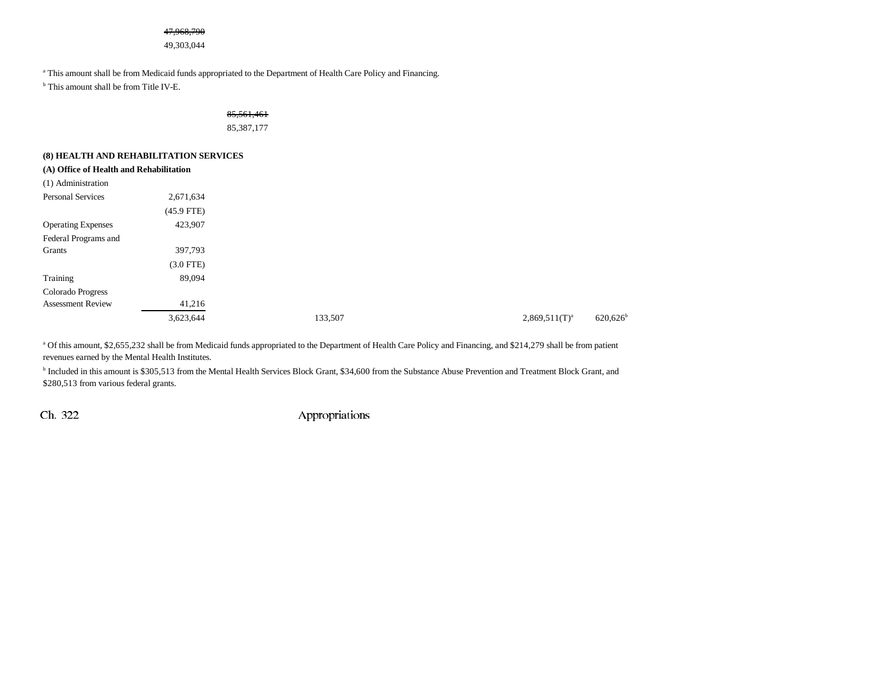#### 47,968,790

49,303,044

<sup>a</sup> This amount shall be from Medicaid funds appropriated to the Department of Health Care Policy and Financing.

b This amount shall be from Title IV-E.

## 85,561,461 85,387,177

### **(8) HEALTH AND REHABILITATION SERVICES**

| (A) Office of Health and Rehabilitation |              |         |                                              |
|-----------------------------------------|--------------|---------|----------------------------------------------|
| (1) Administration                      |              |         |                                              |
| <b>Personal Services</b>                | 2,671,634    |         |                                              |
|                                         | $(45.9$ FTE) |         |                                              |
| <b>Operating Expenses</b>               | 423,907      |         |                                              |
| Federal Programs and                    |              |         |                                              |
| Grants                                  | 397,793      |         |                                              |
|                                         | $(3.0$ FTE)  |         |                                              |
| Training                                | 89,094       |         |                                              |
| Colorado Progress                       |              |         |                                              |
| <b>Assessment Review</b>                | 41,216       |         |                                              |
|                                         | 3,623,644    | 133,507 | $620,626$ <sup>b</sup><br>$2,869,511(T)^{a}$ |

a Of this amount, \$2,655,232 shall be from Medicaid funds appropriated to the Department of Health Care Policy and Financing, and \$214,279 shall be from patient revenues earned by the Mental Health Institutes.

b Included in this amount is \$305,513 from the Mental Health Services Block Grant, \$34,600 from the Substance Abuse Prevention and Treatment Block Grant, and \$280,513 from various federal grants.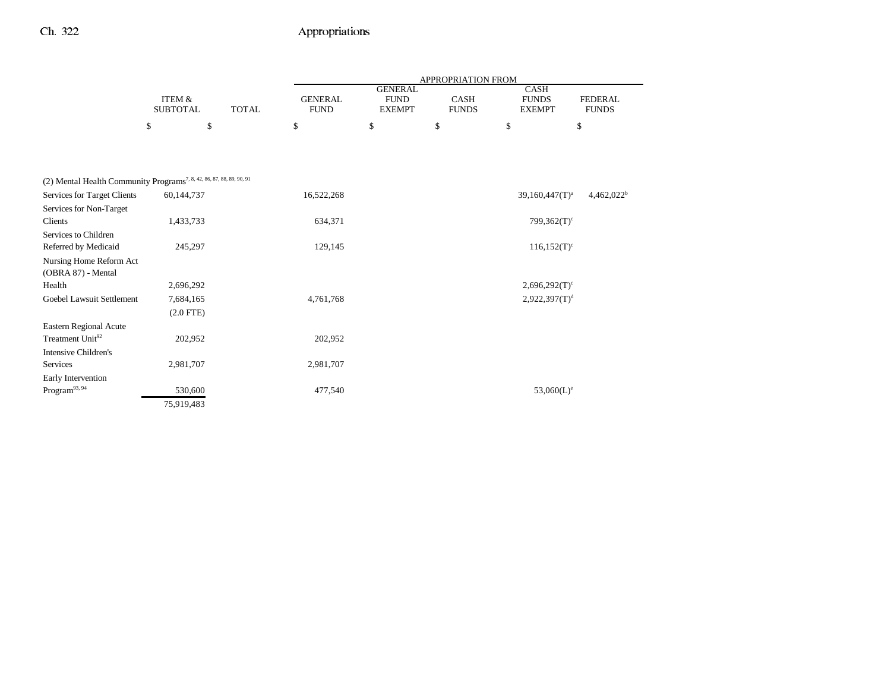|                                                                                  |                                      |              |                               |                                                | APPROPRIATION FROM   |                                       |                                |
|----------------------------------------------------------------------------------|--------------------------------------|--------------|-------------------------------|------------------------------------------------|----------------------|---------------------------------------|--------------------------------|
|                                                                                  | <b>ITEM &amp;</b><br><b>SUBTOTAL</b> | <b>TOTAL</b> | <b>GENERAL</b><br><b>FUND</b> | <b>GENERAL</b><br><b>FUND</b><br><b>EXEMPT</b> | CASH<br><b>FUNDS</b> | CASH<br><b>FUNDS</b><br><b>EXEMPT</b> | <b>FEDERAL</b><br><b>FUNDS</b> |
|                                                                                  | \$<br>\$                             |              | \$                            | \$                                             | \$                   | \$                                    | \$                             |
|                                                                                  |                                      |              |                               |                                                |                      |                                       |                                |
| (2) Mental Health Community Programs <sup>7, 8, 42, 86, 87, 88, 89, 90, 91</sup> |                                      |              |                               |                                                |                      |                                       |                                |
| Services for Target Clients                                                      | 60,144,737                           |              | 16,522,268                    |                                                |                      | $39,160,447(T)^a$                     | 4,462,022 <sup>b</sup>         |
| Services for Non-Target<br>Clients                                               | 1,433,733                            |              | 634,371                       |                                                |                      | $799,362(T)^c$                        |                                |
| Services to Children                                                             |                                      |              |                               |                                                |                      |                                       |                                |
| Referred by Medicaid                                                             | 245,297                              |              | 129,145                       |                                                |                      | $116,152(T)^c$                        |                                |
| Nursing Home Reform Act<br>(OBRA 87) - Mental                                    |                                      |              |                               |                                                |                      |                                       |                                |
| Health                                                                           | 2,696,292                            |              |                               |                                                |                      | $2,696,292(T)$ <sup>c</sup>           |                                |
| Goebel Lawsuit Settlement                                                        | 7,684,165<br>$(2.0$ FTE)             |              | 4,761,768                     |                                                |                      | 2,922,397(T) <sup>d</sup>             |                                |
| Eastern Regional Acute                                                           |                                      |              |                               |                                                |                      |                                       |                                |
| Treatment Unit <sup>92</sup>                                                     | 202,952                              |              | 202,952                       |                                                |                      |                                       |                                |
| <b>Intensive Children's</b>                                                      |                                      |              |                               |                                                |                      |                                       |                                |
| Services                                                                         | 2,981,707                            |              | 2,981,707                     |                                                |                      |                                       |                                |
| Early Intervention                                                               |                                      |              |                               |                                                |                      |                                       |                                |
| $\rm{Program}^{93,\,94}$                                                         | 530,600                              |              | 477,540                       |                                                |                      | $53,060(L)^e$                         |                                |
|                                                                                  | 75,919,483                           |              |                               |                                                |                      |                                       |                                |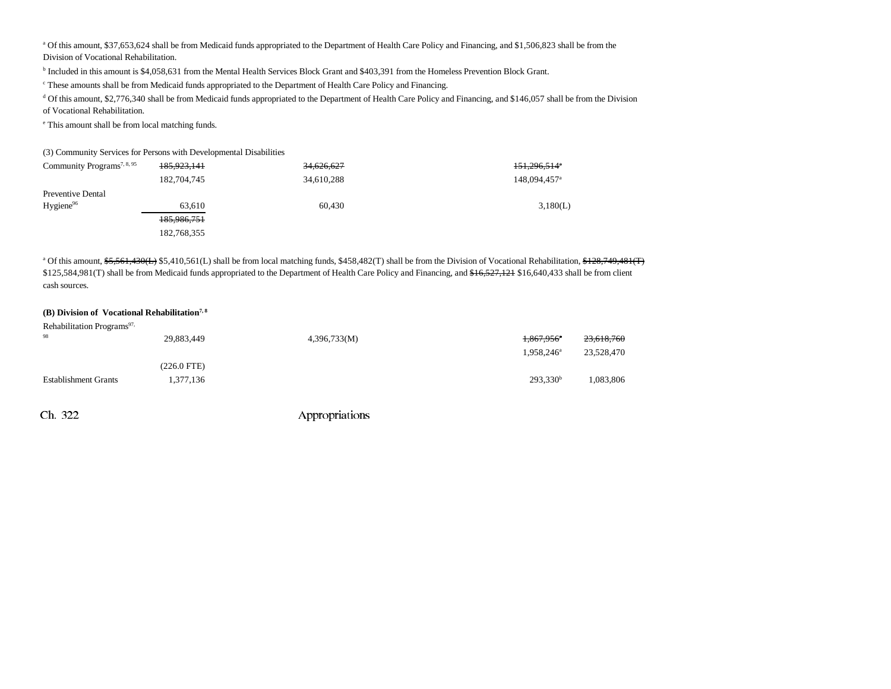<sup>a</sup> Of this amount, \$37,653,624 shall be from Medicaid funds appropriated to the Department of Health Care Policy and Financing, and \$1,506,823 shall be from the Division of Vocational Rehabilitation.

b Included in this amount is \$4,058,631 from the Mental Health Services Block Grant and \$403,391 from the Homeless Prevention Block Grant.

<sup>c</sup> These amounts shall be from Medicaid funds appropriated to the Department of Health Care Policy and Financing.

d Of this amount, \$2,776,340 shall be from Medicaid funds appropriated to the Department of Health Care Policy and Financing, and \$146,057 shall be from the Division of Vocational Rehabilitation.

e This amount shall be from local matching funds.

(3) Community Services for Persons with Developmental Disabilities

| Community Programs <sup>7, 8, 95</sup> | 185,923,141 | <del>34,626,627</del> | 151,296,514 <sup>*</sup> |
|----------------------------------------|-------------|-----------------------|--------------------------|
|                                        | 182,704,745 | 34,610,288            | 148,094,457 <sup>a</sup> |
| Preventive Dental                      |             |                       |                          |
| Hygiene <sup>96</sup>                  | 63.610      | 60,430                | 3,180(L)                 |
|                                        | 185,986,751 |                       |                          |
|                                        | 182,768,355 |                       |                          |

<sup>a</sup> Of this amount, \$5,561,430(L) \$5,410,561(L) shall be from local matching funds, \$458,482(T) shall be from the Division of Vocational Rehabilitation, \$128,749,481(T) \$125,584,981(T) shall be from Medicaid funds appropriated to the Department of Health Care Policy and Financing, and \$16,527,121 \$16,640,433 shall be from client cash sources.

#### **(B) Division of Vocational Rehabilitation7, 8**

| Rehabilitation Programs <sup>97,</sup> |             |              |                        |                       |
|----------------------------------------|-------------|--------------|------------------------|-----------------------|
| 98                                     | 29,883,449  | 4,396,733(M) | 1,867,956 <sup>a</sup> | <del>23,618,760</del> |
|                                        |             |              | 1.958.246 <sup>a</sup> | 23,528,470            |
|                                        | (226.0 FTE) |              |                        |                       |
| <b>Establishment Grants</b>            | 1,377,136   |              | $293,330^b$            | 1,083,806             |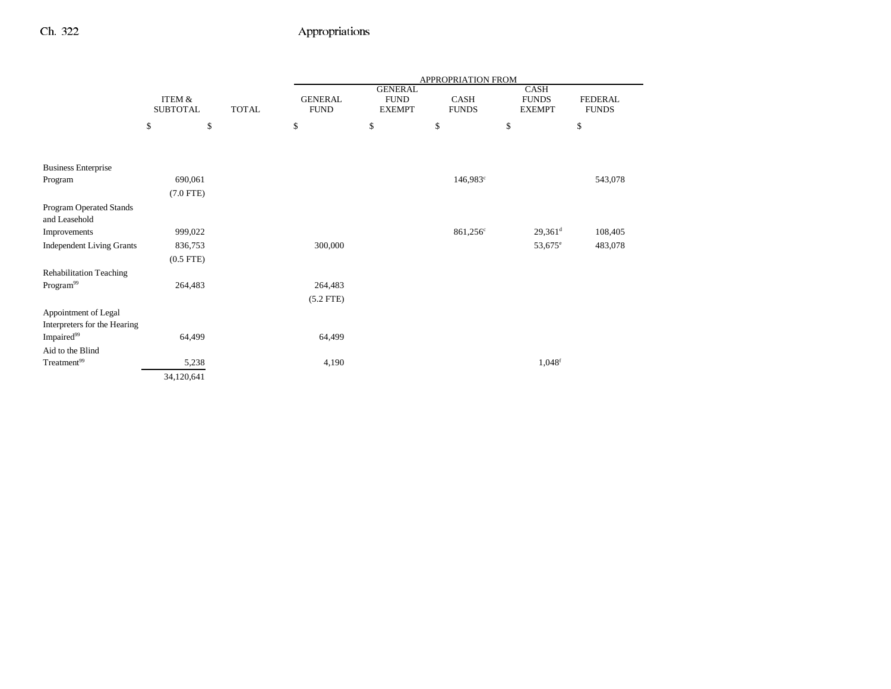|                                                      |                           |              | APPROPRIATION FROM            |                                                |                      |                                       |                                |
|------------------------------------------------------|---------------------------|--------------|-------------------------------|------------------------------------------------|----------------------|---------------------------------------|--------------------------------|
|                                                      | ITEM &<br><b>SUBTOTAL</b> | <b>TOTAL</b> | <b>GENERAL</b><br><b>FUND</b> | <b>GENERAL</b><br><b>FUND</b><br><b>EXEMPT</b> | CASH<br><b>FUNDS</b> | CASH<br><b>FUNDS</b><br><b>EXEMPT</b> | <b>FEDERAL</b><br><b>FUNDS</b> |
|                                                      | \$<br>\$                  |              | \$                            | \$                                             | \$                   | \$                                    | $\mathbb{S}$                   |
|                                                      |                           |              |                               |                                                |                      |                                       |                                |
| <b>Business Enterprise</b>                           |                           |              |                               |                                                |                      |                                       |                                |
| Program                                              | 690,061                   |              |                               |                                                | $146,983^{\circ}$    |                                       | 543,078                        |
|                                                      | $(7.0$ FTE)               |              |                               |                                                |                      |                                       |                                |
| Program Operated Stands<br>and Leasehold             |                           |              |                               |                                                |                      |                                       |                                |
| Improvements                                         | 999,022                   |              |                               |                                                | $861,256^{\circ}$    | $29,361$ <sup>d</sup>                 | 108,405                        |
| <b>Independent Living Grants</b>                     | 836,753                   |              | 300,000                       |                                                |                      | $53,675^{\circ}$                      | 483,078                        |
|                                                      | $(0.5$ FTE $)$            |              |                               |                                                |                      |                                       |                                |
| <b>Rehabilitation Teaching</b>                       |                           |              |                               |                                                |                      |                                       |                                |
| Program <sup>99</sup>                                | 264,483                   |              | 264,483                       |                                                |                      |                                       |                                |
|                                                      |                           |              | $(5.2$ FTE $)$                |                                                |                      |                                       |                                |
| Appointment of Legal<br>Interpreters for the Hearing |                           |              |                               |                                                |                      |                                       |                                |
| Impaired <sup>99</sup>                               | 64,499                    |              | 64,499                        |                                                |                      |                                       |                                |
| Aid to the Blind                                     |                           |              |                               |                                                |                      |                                       |                                |
| Treatment <sup>99</sup>                              | 5,238                     |              | 4,190                         |                                                |                      | $1,048$ <sup>f</sup>                  |                                |
|                                                      | 34,120,641                |              |                               |                                                |                      |                                       |                                |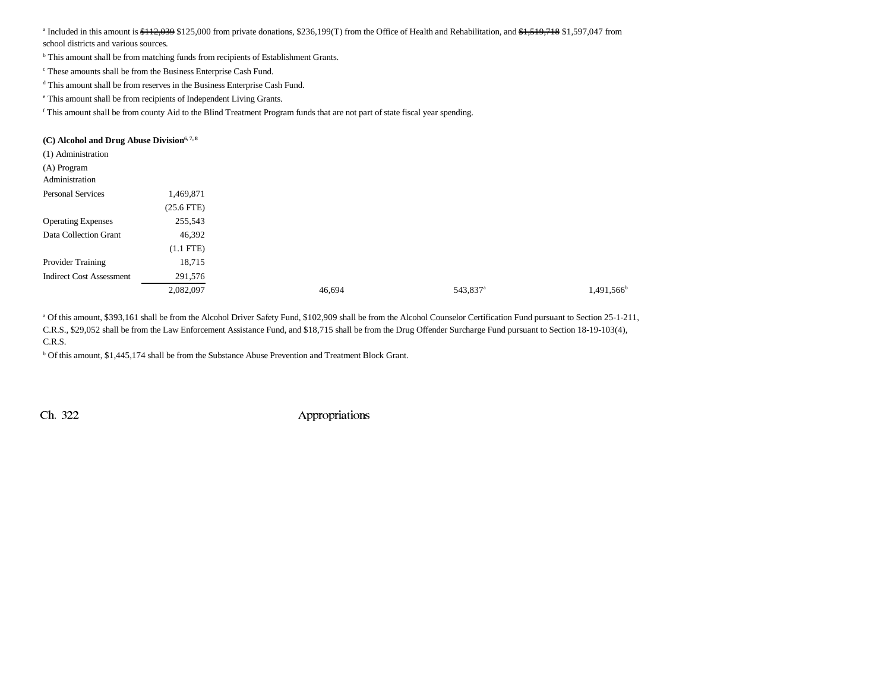<sup>a</sup> Included in this amount is  $\frac{12,039}{12,000}$  from private donations, \$236,199(T) from the Office of Health and Rehabilitation, and \$1,519,718 \$1,597,047 from school districts and various sources.

b This amount shall be from matching funds from recipients of Establishment Grants.

c These amounts shall be from the Business Enterprise Cash Fund.

d This amount shall be from reserves in the Business Enterprise Cash Fund.

e This amount shall be from recipients of Independent Living Grants.

f This amount shall be from county Aid to the Blind Treatment Program funds that are not part of state fiscal year spending.

| (C) Alcohol and Drug Abuse Division <sup>6, 7, 8</sup> |              |        |                      |                        |
|--------------------------------------------------------|--------------|--------|----------------------|------------------------|
| (1) Administration                                     |              |        |                      |                        |
| (A) Program                                            |              |        |                      |                        |
| Administration                                         |              |        |                      |                        |
| <b>Personal Services</b>                               | 1,469,871    |        |                      |                        |
|                                                        | $(25.6$ FTE) |        |                      |                        |
| <b>Operating Expenses</b>                              | 255,543      |        |                      |                        |
| Data Collection Grant                                  | 46,392       |        |                      |                        |
|                                                        | $(1.1$ FTE)  |        |                      |                        |
| Provider Training                                      | 18,715       |        |                      |                        |
| <b>Indirect Cost Assessment</b>                        | 291,576      |        |                      |                        |
|                                                        | 2,082,097    | 46,694 | 543,837 <sup>a</sup> | 1,491,566 <sup>b</sup> |

a Of this amount, \$393,161 shall be from the Alcohol Driver Safety Fund, \$102,909 shall be from the Alcohol Counselor Certification Fund pursuant to Section 25-1-211, C.R.S., \$29,052 shall be from the Law Enforcement Assistance Fund, and \$18,715 shall be from the Drug Offender Surcharge Fund pursuant to Section 18-19-103(4), C.R.S.

b Of this amount, \$1,445,174 shall be from the Substance Abuse Prevention and Treatment Block Grant.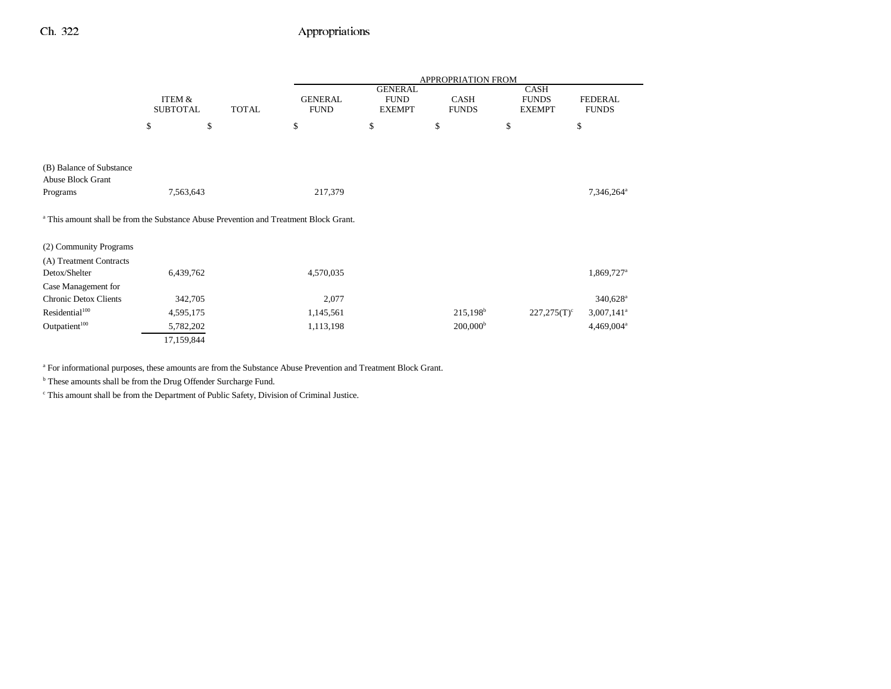|                                                                                                  |                           |              |                               |                                                | <b>APPROPRIATION FROM</b>   |                                              |                                |
|--------------------------------------------------------------------------------------------------|---------------------------|--------------|-------------------------------|------------------------------------------------|-----------------------------|----------------------------------------------|--------------------------------|
|                                                                                                  | ITEM &<br><b>SUBTOTAL</b> | <b>TOTAL</b> | <b>GENERAL</b><br><b>FUND</b> | <b>GENERAL</b><br><b>FUND</b><br><b>EXEMPT</b> | <b>CASH</b><br><b>FUNDS</b> | <b>CASH</b><br><b>FUNDS</b><br><b>EXEMPT</b> | <b>FEDERAL</b><br><b>FUNDS</b> |
|                                                                                                  | \$<br>\$                  |              | \$                            | \$                                             | \$                          | \$                                           | \$                             |
|                                                                                                  |                           |              |                               |                                                |                             |                                              |                                |
| (B) Balance of Substance<br><b>Abuse Block Grant</b><br>Programs                                 | 7,563,643                 |              | 217,379                       |                                                |                             |                                              | 7,346,264 <sup>a</sup>         |
| <sup>a</sup> This amount shall be from the Substance Abuse Prevention and Treatment Block Grant. |                           |              |                               |                                                |                             |                                              |                                |
| (2) Community Programs                                                                           |                           |              |                               |                                                |                             |                                              |                                |
| (A) Treatment Contracts<br>Detox/Shelter                                                         | 6,439,762                 |              | 4,570,035                     |                                                |                             |                                              | 1,869,727 <sup>a</sup>         |
| Case Management for                                                                              |                           |              |                               |                                                |                             |                                              |                                |
| <b>Chronic Detox Clients</b>                                                                     | 342,705                   |              | 2,077                         |                                                |                             |                                              | $340,628$ <sup>a</sup>         |
| Residential <sup>100</sup>                                                                       | 4,595,175                 |              | 1,145,561                     |                                                | $215,198^b$                 | $227,275(T)^c$                               | $3,007,141$ <sup>a</sup>       |
| Outpatient <sup>100</sup>                                                                        | 5,782,202                 |              | 1,113,198                     |                                                | 200,000 <sup>b</sup>        |                                              | $4,469,004$ <sup>a</sup>       |
|                                                                                                  | 17,159,844                |              |                               |                                                |                             |                                              |                                |

a For informational purposes, these amounts are from the Substance Abuse Prevention and Treatment Block Grant.

 $^{\rm b}$  These amounts shall be from the Drug Offender Surcharge Fund.

c This amount shall be from the Department of Public Safety, Division of Criminal Justice.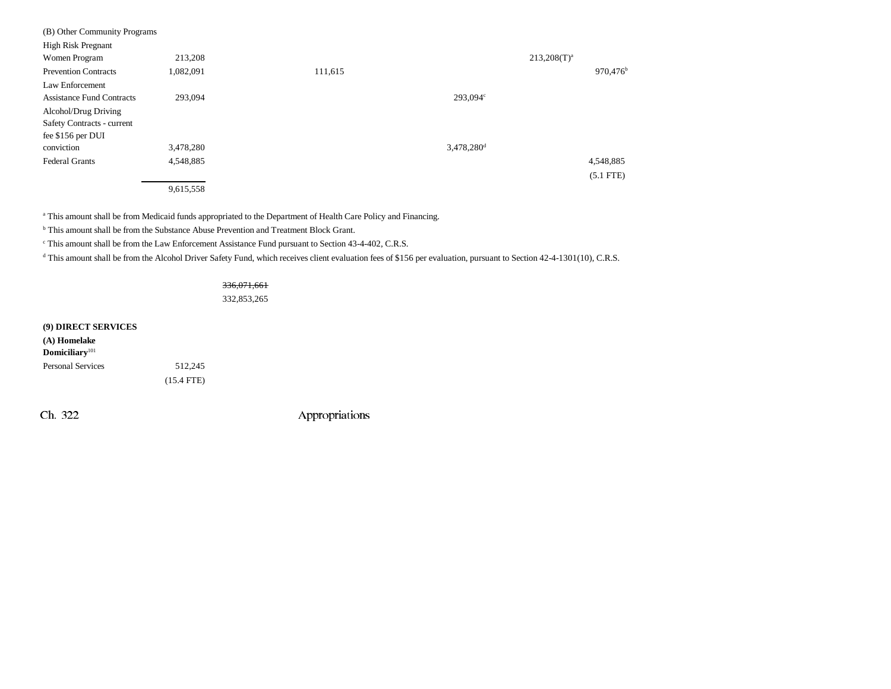| (B) Other Community Programs     |           |         |                          |                      |
|----------------------------------|-----------|---------|--------------------------|----------------------|
| <b>High Risk Pregnant</b>        |           |         |                          |                      |
| Women Program                    | 213,208   |         |                          | $213,208(T)^{a}$     |
| <b>Prevention Contracts</b>      | 1,082,091 | 111,615 |                          | 970,476 <sup>b</sup> |
| Law Enforcement                  |           |         |                          |                      |
| <b>Assistance Fund Contracts</b> | 293,094   |         | 293,094 <sup>c</sup>     |                      |
| Alcohol/Drug Driving             |           |         |                          |                      |
| Safety Contracts - current       |           |         |                          |                      |
| fee \$156 per DUI                |           |         |                          |                      |
| conviction                       | 3,478,280 |         | $3,478,280$ <sup>d</sup> |                      |
| <b>Federal Grants</b>            | 4,548,885 |         |                          | 4,548,885            |
|                                  |           |         |                          | $(5.1$ FTE)          |
|                                  | 9,615,558 |         |                          |                      |

<sup>a</sup> This amount shall be from Medicaid funds appropriated to the Department of Health Care Policy and Financing.

b This amount shall be from the Substance Abuse Prevention and Treatment Block Grant.

c This amount shall be from the Law Enforcement Assistance Fund pursuant to Section 43-4-402, C.R.S.

<sup>d</sup> This amount shall be from the Alcohol Driver Safety Fund, which receives client evaluation fees of \$156 per evaluation, pursuant to Section 42-4-1301(10), C.R.S.

### 336,071,661

332,853,265

#### **(9) DIRECT SERVICES**

| (A) Homelake               |              |
|----------------------------|--------------|
| Domiciliary <sup>101</sup> |              |
| <b>Personal Services</b>   | 512.245      |
|                            | $(15.4$ FTE) |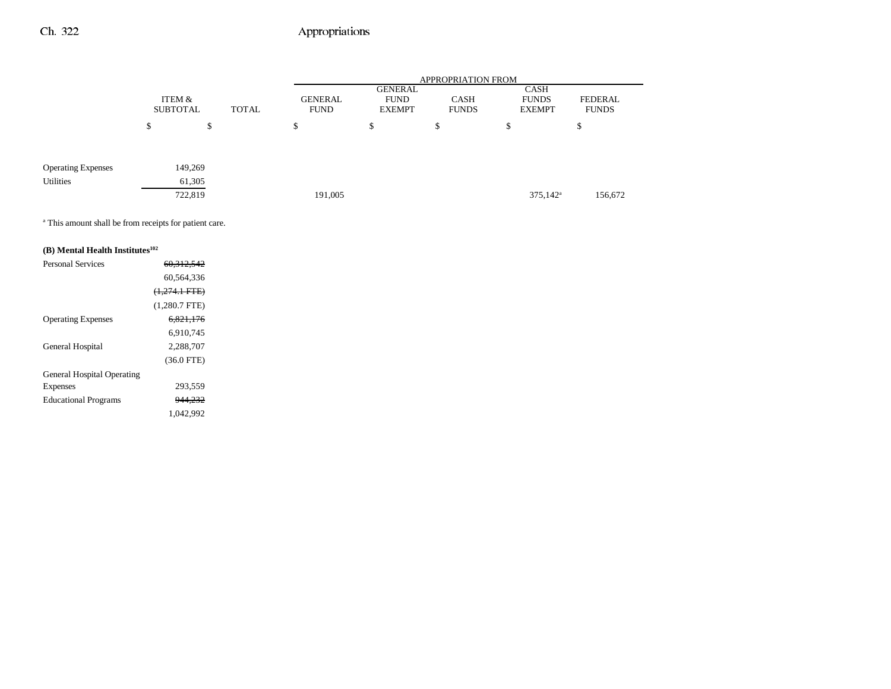|                           |        |                           |              |        |                        |                                                | <b>APPROPRIATION FROM</b>   |                                              |                         |
|---------------------------|--------|---------------------------|--------------|--------|------------------------|------------------------------------------------|-----------------------------|----------------------------------------------|-------------------------|
|                           |        | ITEM &<br><b>SUBTOTAL</b> | <b>TOTAL</b> |        | GENERAL<br><b>FUND</b> | <b>GENERAL</b><br><b>FUND</b><br><b>EXEMPT</b> | <b>CASH</b><br><b>FUNDS</b> | <b>CASH</b><br><b>FUNDS</b><br><b>EXEMPT</b> | FEDERAL<br><b>FUNDS</b> |
|                           | ¢<br>D | \$                        |              | ¢<br>Φ |                        | \$                                             | \$                          | \$                                           | \$                      |
|                           |        |                           |              |        |                        |                                                |                             |                                              |                         |
| <b>Operating Expenses</b> |        | 149,269                   |              |        |                        |                                                |                             |                                              |                         |
| Utilities                 |        | 61,305                    |              |        |                        |                                                |                             |                                              |                         |
|                           |        | 722,819                   |              |        | 191,005                |                                                |                             | $375,142^{\rm a}$                            | 156,672                 |

a This amount shall be from receipts for patient care.

## **(B) Mental Health Institutes102**

| <b>Personal Services</b>          | 60.312.542      |  |
|-----------------------------------|-----------------|--|
|                                   | 60.564.336      |  |
|                                   | $(1,274.1$ FTE) |  |
|                                   | $(1,280.7$ FTE) |  |
| <b>Operating Expenses</b>         | 6.821.176       |  |
|                                   | 6.910.745       |  |
| General Hospital                  | 2.288.707       |  |
|                                   | $(36.0$ FTE)    |  |
| <b>General Hospital Operating</b> |                 |  |
| Expenses                          | 293,559         |  |
| <b>Educational Programs</b>       | 944,232         |  |
|                                   | 1.042.992       |  |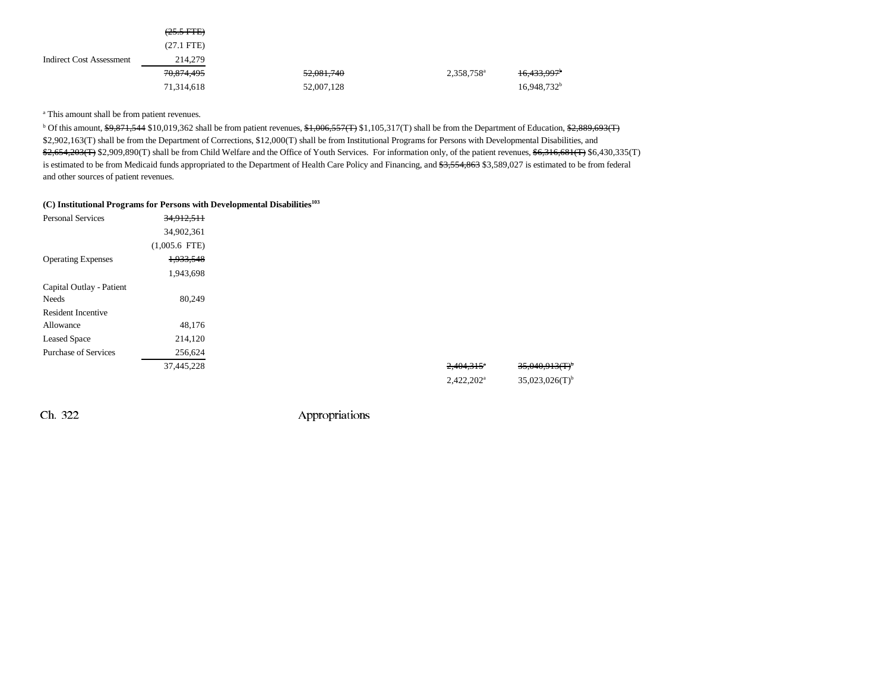|                                 | $(25.5 \text{ FFE})$  |                       |                        |                         |
|---------------------------------|-----------------------|-----------------------|------------------------|-------------------------|
|                                 | $(27.1$ FTE)          |                       |                        |                         |
| <b>Indirect Cost Assessment</b> | 214,279               |                       |                        |                         |
|                                 | <del>70,874,495</del> | <del>52,081,740</del> | 2,358,758 <sup>a</sup> | 16,433,997 <sup>b</sup> |
|                                 | 71,314,618            | 52,007,128            |                        | $16,948,732^b$          |

<sup>a</sup> This amount shall be from patient revenues.

<sup>b</sup> Of this amount, \$9,871,544 \$10,019,362 shall be from patient revenues, \$1,006,557(T) \$1,105,317(T) shall be from the Department of Education, \$2,889,693(T) \$2,902,163(T) shall be from the Department of Corrections, \$12,000(T) shall be from Institutional Programs for Persons with Developmental Disabilities, and \$2,654,203(T) \$2,909,890(T) shall be from Child Welfare and the Office of Youth Services. For information only, of the patient revenues, \$6,316,681(T) \$6,430,335(T) is estimated to be from Medicaid funds appropriated to the Department of Health Care Policy and Financing, and \$3,554,863 \$3,589,027 is estimated to be from federal and other sources of patient revenues.

### **(C) Institutional Programs for Persons with Developmental Disabilities103**

| <b>Personal Services</b>    | 34,912,511      |  |                          |                              |
|-----------------------------|-----------------|--|--------------------------|------------------------------|
|                             | 34,902,361      |  |                          |                              |
|                             | $(1,005.6$ FTE) |  |                          |                              |
| <b>Operating Expenses</b>   | 1,933,548       |  |                          |                              |
|                             | 1,943,698       |  |                          |                              |
| Capital Outlay - Patient    |                 |  |                          |                              |
| Needs                       | 80,249          |  |                          |                              |
| <b>Resident Incentive</b>   |                 |  |                          |                              |
| Allowance                   | 48,176          |  |                          |                              |
| <b>Leased Space</b>         | 214,120         |  |                          |                              |
| <b>Purchase of Services</b> | 256,624         |  |                          |                              |
|                             | 37,445,228      |  | $2,404,315$ <sup>*</sup> | 35,040,913(T)                |
|                             |                 |  | $2,422,202^a$            | $35,023,026(T)$ <sup>b</sup> |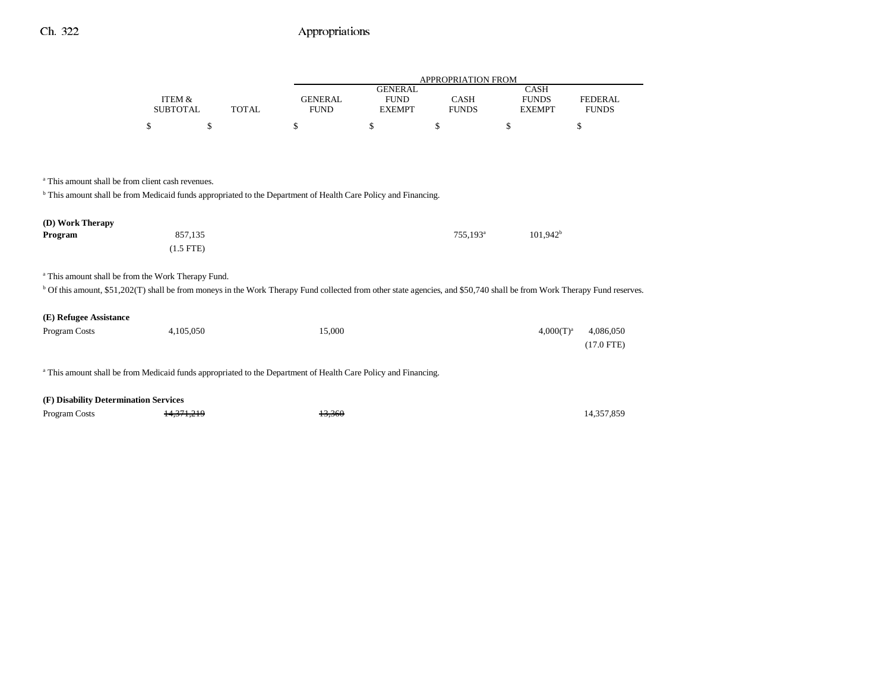|                                                                                                                                                                                    |                           |              |                               |                                                | APPROPRIATION FROM          |                                              |                                |
|------------------------------------------------------------------------------------------------------------------------------------------------------------------------------------|---------------------------|--------------|-------------------------------|------------------------------------------------|-----------------------------|----------------------------------------------|--------------------------------|
|                                                                                                                                                                                    | ITEM &<br><b>SUBTOTAL</b> | <b>TOTAL</b> | <b>GENERAL</b><br><b>FUND</b> | <b>GENERAL</b><br><b>FUND</b><br><b>EXEMPT</b> | <b>CASH</b><br><b>FUNDS</b> | <b>CASH</b><br><b>FUNDS</b><br><b>EXEMPT</b> | <b>FEDERAL</b><br><b>FUNDS</b> |
|                                                                                                                                                                                    | \$                        | \$           | \$                            | \$                                             | \$                          | \$                                           | \$                             |
|                                                                                                                                                                                    |                           |              |                               |                                                |                             |                                              |                                |
|                                                                                                                                                                                    |                           |              |                               |                                                |                             |                                              |                                |
| <sup>a</sup> This amount shall be from client cash revenues.                                                                                                                       |                           |              |                               |                                                |                             |                                              |                                |
| <sup>b</sup> This amount shall be from Medicaid funds appropriated to the Department of Health Care Policy and Financing.                                                          |                           |              |                               |                                                |                             |                                              |                                |
|                                                                                                                                                                                    |                           |              |                               |                                                |                             |                                              |                                |
| (D) Work Therapy                                                                                                                                                                   |                           |              |                               |                                                |                             |                                              |                                |
| Program                                                                                                                                                                            | 857,135                   |              |                               |                                                | 755,193 <sup>a</sup>        | $101,942^b$                                  |                                |
|                                                                                                                                                                                    | $(1.5$ FTE)               |              |                               |                                                |                             |                                              |                                |
|                                                                                                                                                                                    |                           |              |                               |                                                |                             |                                              |                                |
| <sup>a</sup> This amount shall be from the Work Therapy Fund.                                                                                                                      |                           |              |                               |                                                |                             |                                              |                                |
| <sup>b</sup> Of this amount, \$51,202(T) shall be from moneys in the Work Therapy Fund collected from other state agencies, and \$50,740 shall be from Work Therapy Fund reserves. |                           |              |                               |                                                |                             |                                              |                                |
|                                                                                                                                                                                    |                           |              |                               |                                                |                             |                                              |                                |
| (E) Refugee Assistance                                                                                                                                                             |                           |              |                               |                                                |                             |                                              |                                |
| Program Costs                                                                                                                                                                      | 4,105,050                 |              | 15,000                        |                                                |                             | $4,000(T)^{a}$                               | 4,086,050                      |
|                                                                                                                                                                                    |                           |              |                               |                                                |                             |                                              | $(17.0$ FTE)                   |
|                                                                                                                                                                                    |                           |              |                               |                                                |                             |                                              |                                |
| a This amount shall be from Medicaid funds appropriated to the Department of Health Care Policy and Financing.                                                                     |                           |              |                               |                                                |                             |                                              |                                |
|                                                                                                                                                                                    |                           |              |                               |                                                |                             |                                              |                                |
| (F) Disability Determination Services                                                                                                                                              |                           |              |                               |                                                |                             |                                              |                                |

Program Costs **14,371,219** 14,360 14,357,859 14,357,859 14,357,859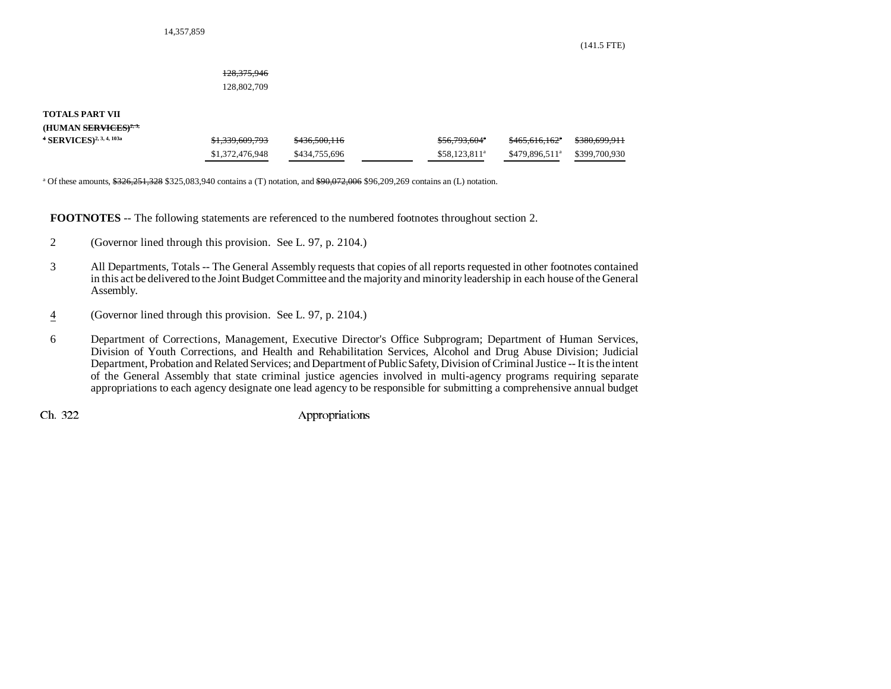(141.5 FTE)

### 128,375,946

128,802,709

### **TOTALS PART VII**

**(HUMAN SERVICES)2, 3,**

| $4$ SERVICES) <sup>2, 3, 4, 103a</sup> | <del>\$1.339.609.793</del> | <del>\$436,500,116</del> | \$56.793.604°             | <del>\$465.616.162</del> *      | <del>\$380,699.911</del> |
|----------------------------------------|----------------------------|--------------------------|---------------------------|---------------------------------|--------------------------|
|                                        | \$1,372,476,948            | \$434,755,696            | \$58.123.811 <sup>a</sup> | $$479.896.511^a$ $$399.700.930$ |                          |

<sup>a</sup> Of these amounts,  $\frac{$326,251,328}{$325,083,940}$  contains a (T) notation, and  $\frac{$90,072,006}{$96,209,269}$  contains an (L) notation.

**FOOTNOTES** -- The following statements are referenced to the numbered footnotes throughout section 2.

- 2 (Governor lined through this provision. See L. 97, p. 2104.)
- 3 All Departments, Totals -- The General Assembly requests that copies of all reports requested in other footnotes contained in this act be delivered to the Joint Budget Committee and the majority and minority leadership in each house of the General Assembly.
- 4(Governor lined through this provision. See L. 97, p. 2104.)
- 6 Department of Corrections, Management, Executive Director's Office Subprogram; Department of Human Services, Division of Youth Corrections, and Health and Rehabilitation Services, Alcohol and Drug Abuse Division; Judicial Department, Probation and Related Services; and Department of Public Safety, Division of Criminal Justice -- It is the intent of the General Assembly that state criminal justice agencies involved in multi-agency programs requiring separate appropriations to each agency designate one lead agency to be responsible for submitting a comprehensive annual budget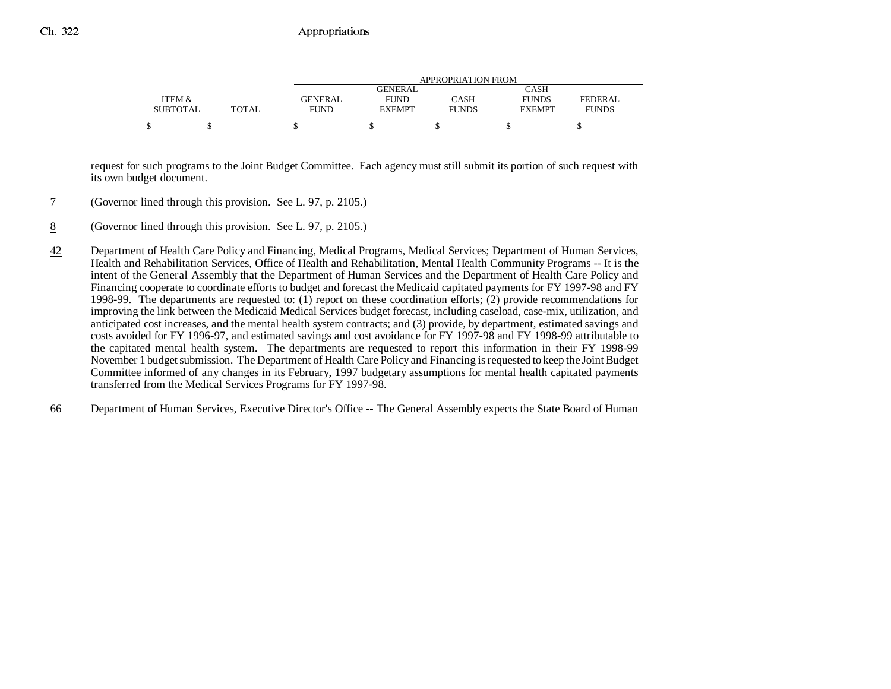|                 |       |             |               | APPROPRIATION FROM |               |              |
|-----------------|-------|-------------|---------------|--------------------|---------------|--------------|
|                 |       |             | GENERAL       |                    | CASH          |              |
| ITEM &          |       | GENERAL     | <b>FUND</b>   | CASH               | <b>FUNDS</b>  | FEDERAL      |
| <b>SUBTOTAL</b> | TOTAL | <b>FUND</b> | <b>EXEMPT</b> | <b>FUNDS</b>       | <b>EXEMPT</b> | <b>FUNDS</b> |
|                 |       |             |               |                    |               |              |

request for such programs to the Joint Budget Committee. Each agency must still submit its portion of such request with its own budget document.

- 7(Governor lined through this provision. See L. 97, p. 2105.)
- 8(Governor lined through this provision. See L. 97, p. 2105.)
- 42 Department of Health Care Policy and Financing, Medical Programs, Medical Services; Department of Human Services, Health and Rehabilitation Services, Office of Health and Rehabilitation, Mental Health Community Programs -- It is the intent of the General Assembly that the Department of Human Services and the Department of Health Care Policy and Financing cooperate to coordinate efforts to budget and forecast the Medicaid capitated payments for FY 1997-98 and FY 1998-99. The departments are requested to: (1) report on these coordination efforts; (2) provide recommendations for improving the link between the Medicaid Medical Services budget forecast, including caseload, case-mix, utilization, and anticipated cost increases, and the mental health system contracts; and (3) provide, by department, estimated savings and costs avoided for FY 1996-97, and estimated savings and cost avoidance for FY 1997-98 and FY 1998-99 attributable to the capitated mental health system. The departments are requested to report this information in their FY 1998-99 November 1 budget submission. The Department of Health Care Policy and Financing is requested to keep the Joint Budget Committee informed of any changes in its February, 1997 budgetary assumptions for mental health capitated payments transferred from the Medical Services Programs for FY 1997-98.
- 66 Department of Human Services, Executive Director's Office -- The General Assembly expects the State Board of Human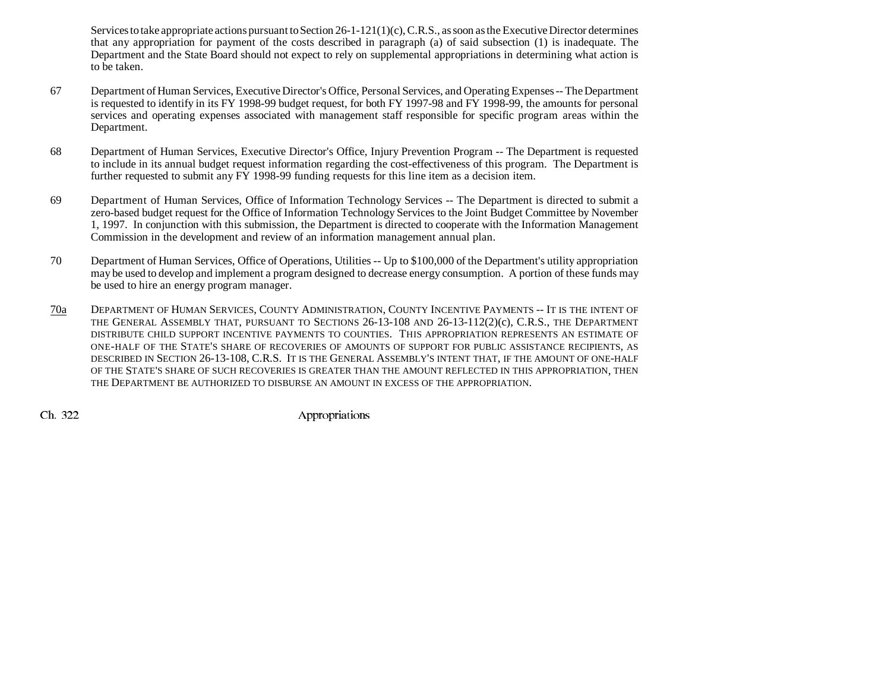Services to take appropriate actions pursuant to Section 26-1-121(1)(c), C.R.S., as soon as the Executive Director determines that any appropriation for payment of the costs described in paragraph (a) of said subsection (1) is inadequate. The Department and the State Board should not expect to rely on supplemental appropriations in determining what action is to be taken.

- 67 Department of Human Services, Executive Director's Office, Personal Services, and Operating Expenses -- The Department is requested to identify in its FY 1998-99 budget request, for both FY 1997-98 and FY 1998-99, the amounts for personal services and operating expenses associated with management staff responsible for specific program areas within the Department.
- 68 Department of Human Services, Executive Director's Office, Injury Prevention Program -- The Department is requested to include in its annual budget request information regarding the cost-effectiveness of this program. The Department is further requested to submit any FY 1998-99 funding requests for this line item as a decision item.
- 69 Department of Human Services, Office of Information Technology Services -- The Department is directed to submit a zero-based budget request for the Office of Information Technology Services to the Joint Budget Committee by November 1, 1997. In conjunction with this submission, the Department is directed to cooperate with the Information Management Commission in the development and review of an information management annual plan.
- 70 Department of Human Services, Office of Operations, Utilities -- Up to \$100,000 of the Department's utility appropriation may be used to develop and implement a program designed to decrease energy consumption. A portion of these funds may be used to hire an energy program manager.
- 70a DEPARTMENT OF HUMAN SERVICES, COUNTY ADMINISTRATION, COUNTY INCENTIVE PAYMENTS -- IT IS THE INTENT OF THE GENERAL ASSEMBLY THAT, PURSUANT TO SECTIONS 26-13-108 AND 26-13-112(2)(c), C.R.S., THE DEPARTMENT DISTRIBUTE CHILD SUPPORT INCENTIVE PAYMENTS TO COUNTIES. THIS APPROPRIATION REPRESENTS AN ESTIMATE OFONE-HALF OF THE STATE'S SHARE OF RECOVERIES OF AMOUNTS OF SUPPORT FOR PUBLIC ASSISTANCE RECIPIENTS, AS DESCRIBED IN SECTION 26-13-108, C.R.S. IT IS THE GENERAL ASSEMBLY'S INTENT THAT, IF THE AMOUNT OF ONE-HALF OF THE STATE'S SHARE OF SUCH RECOVERIES IS GREATER THAN THE AMOUNT REFLECTED IN THIS APPROPRIATION, THEN THE DEPARTMENT BE AUTHORIZED TO DISBURSE AN AMOUNT IN EXCESS OF THE APPROPRIATION.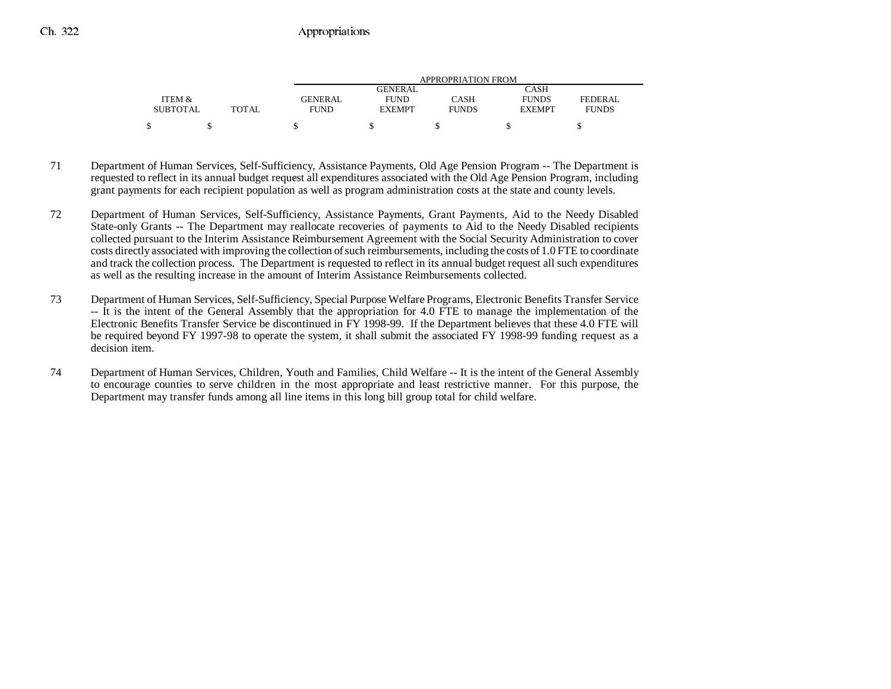|                 |       |                |                | APPROPRIATION FROM |               |              |
|-----------------|-------|----------------|----------------|--------------------|---------------|--------------|
|                 |       |                | <b>GENERAL</b> |                    | CASH          |              |
| ITEM &          |       | <b>GENERAL</b> | <b>FUND</b>    | CASH               | <b>FUNDS</b>  | FEDERAL      |
| <b>SUBTOTAL</b> | TOTAL | <b>FUND</b>    | <b>EXEMPT</b>  | <b>FUNDS</b>       | <b>EXEMPT</b> | <b>FUNDS</b> |
|                 |       |                |                |                    |               |              |

- 71 Department of Human Services, Self-Sufficiency, Assistance Payments, Old Age Pension Program -- The Department is requested to reflect in its annual budget request all expenditures associated with the Old Age Pension Program, including grant payments for each recipient population as well as program administration costs at the state and county levels.
- 72 Department of Human Services, Self-Sufficiency, Assistance Payments, Grant Payments, Aid to the Needy Disabled State-only Grants -- The Department may reallocate recoveries of payments to Aid to the Needy Disabled recipients collected pursuant to the Interim Assistance Reimbursement Agreement with the Social Security Administration to cover costs directly associated with improving the collection of such reimbursements, including the costs of 1.0 FTE to coordinate and track the collection process. The Department is requested to reflect in its annual budget request all such expenditures as well as the resulting increase in the amount of Interim Assistance Reimbursements collected.
- 73 Department of Human Services, Self-Sufficiency, Special Purpose Welfare Programs, Electronic Benefits Transfer Service -- It is the intent of the General Assembly that the appropriation for 4.0 FTE to manage the implementation of the Electronic Benefits Transfer Service be discontinued in FY 1998-99. If the Department believes that these 4.0 FTE will be required beyond FY 1997-98 to operate the system, it shall submit the associated FY 1998-99 funding request as a decision item.
- 74 Department of Human Services, Children, Youth and Families, Child Welfare -- It is the intent of the General Assembly to encourage counties to serve children in the most appropriate and least restrictive manner. For this purpose, the Department may transfer funds among all line items in this long bill group total for child welfare.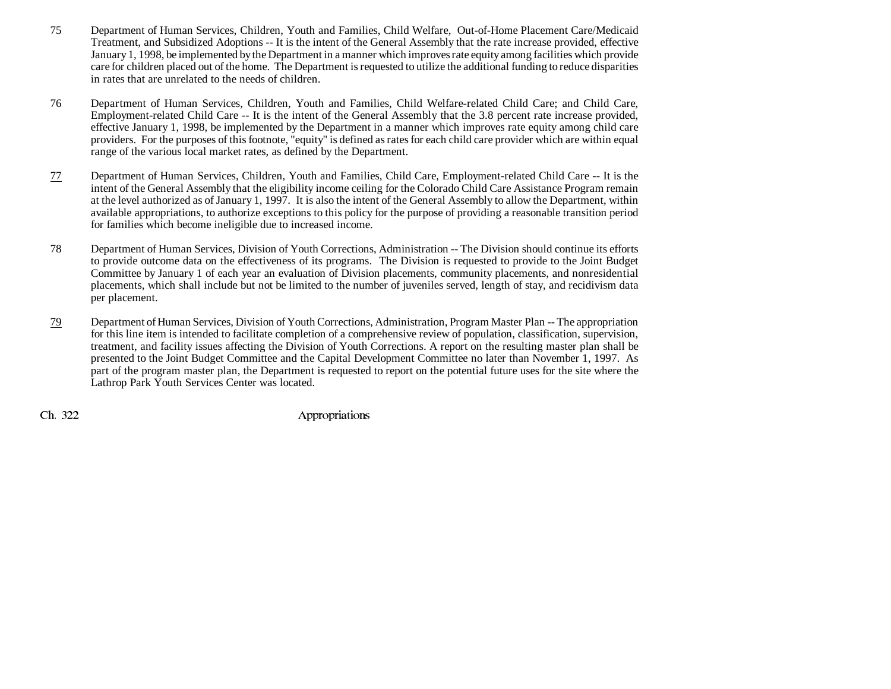- 75 Department of Human Services, Children, Youth and Families, Child Welfare, Out-of-Home Placement Care/Medicaid Treatment, and Subsidized Adoptions -- It is the intent of the General Assembly that the rate increase provided, effective January 1, 1998, be implemented by the Department in a manner which improves rate equity among facilities which provide care for children placed out of the home. The Department is requested to utilize the additional funding to reduce disparities in rates that are unrelated to the needs of children.
- 76 Department of Human Services, Children, Youth and Families, Child Welfare-related Child Care; and Child Care, Employment-related Child Care -- It is the intent of the General Assembly that the 3.8 percent rate increase provided, effective January 1, 1998, be implemented by the Department in a manner which improves rate equity among child care providers. For the purposes of this footnote, "equity" is defined as rates for each child care provider which are within equal range of the various local market rates, as defined by the Department.
- 77 Department of Human Services, Children, Youth and Families, Child Care, Employment-related Child Care -- It is the intent of the General Assembly that the eligibility income ceiling for the Colorado Child Care Assistance Program remain at the level authorized as of January 1, 1997. It is also the intent of the General Assembly to allow the Department, within available appropriations, to authorize exceptions to this policy for the purpose of providing a reasonable transition period for families which become ineligible due to increased income.
- 78 Department of Human Services, Division of Youth Corrections, Administration -- The Division should continue its efforts to provide outcome data on the effectiveness of its programs. The Division is requested to provide to the Joint Budget Committee by January 1 of each year an evaluation of Division placements, community placements, and nonresidential placements, which shall include but not be limited to the number of juveniles served, length of stay, and recidivism data per placement.
- 79 Department of Human Services, Division of Youth Corrections, Administration, Program Master Plan **--** The appropriation for this line item is intended to facilitate completion of a comprehensive review of population, classification, supervision, treatment, and facility issues affecting the Division of Youth Corrections. A report on the resulting master plan shall be presented to the Joint Budget Committee and the Capital Development Committee no later than November 1, 1997. As part of the program master plan, the Department is requested to report on the potential future uses for the site where the Lathrop Park Youth Services Center was located.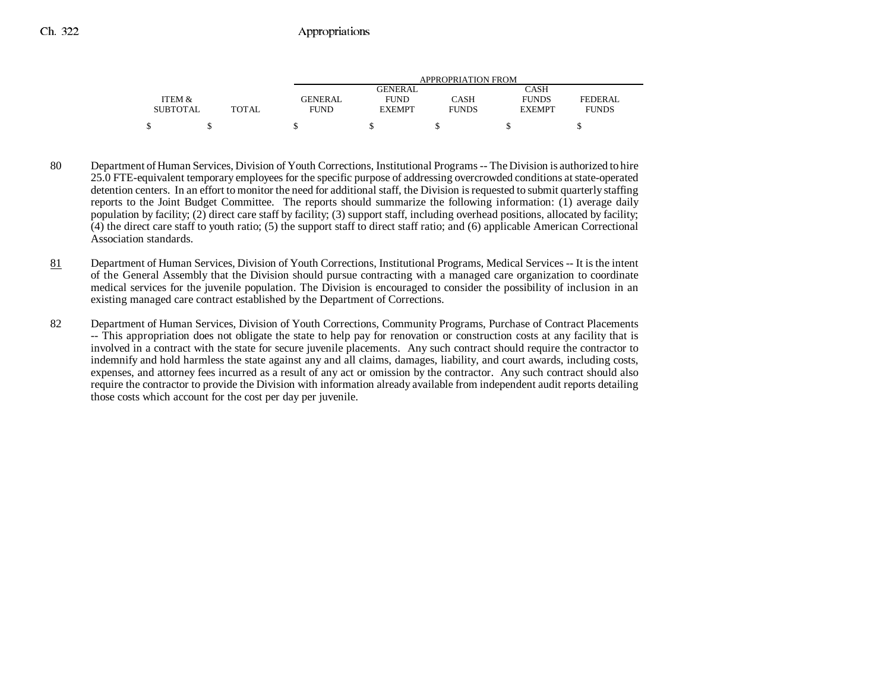|                 |       | APPROPRIATION FROM |               |              |               |              |
|-----------------|-------|--------------------|---------------|--------------|---------------|--------------|
|                 |       |                    | GENERAL       |              | CASH          |              |
| ITEM &          |       | GENERAL            | <b>FUND</b>   | CASH         | <b>FUNDS</b>  | FEDERAL      |
| <b>SUBTOTAL</b> | TOTAL | <b>FUND</b>        | <b>EXEMPT</b> | <b>FUNDS</b> | <b>EXEMPT</b> | <b>FUNDS</b> |
| ¢               |       |                    |               |              |               |              |

- 80 Department of Human Services, Division of Youth Corrections, Institutional Programs -- The Division is authorized to hire 25.0 FTE-equivalent temporary employees for the specific purpose of addressing overcrowded conditions at state-operated detention centers. In an effort to monitor the need for additional staff, the Division is requested to submit quarterly staffing reports to the Joint Budget Committee. The reports should summarize the following information: (1) average daily population by facility; (2) direct care staff by facility; (3) support staff, including overhead positions, allocated by facility; (4) the direct care staff to youth ratio; (5) the support staff to direct staff ratio; and (6) applicable American Correctional Association standards.
- 81 Department of Human Services, Division of Youth Corrections, Institutional Programs, Medical Services -- It is the intent of the General Assembly that the Division should pursue contracting with a managed care organization to coordinate medical services for the juvenile population. The Division is encouraged to consider the possibility of inclusion in an existing managed care contract established by the Department of Corrections.
- 82 Department of Human Services, Division of Youth Corrections, Community Programs, Purchase of Contract Placements -- This appropriation does not obligate the state to help pay for renovation or construction costs at any facility that is involved in a contract with the state for secure juvenile placements. Any such contract should require the contractor to indemnify and hold harmless the state against any and all claims, damages, liability, and court awards, including costs, expenses, and attorney fees incurred as a result of any act or omission by the contractor. Any such contract should also require the contractor to provide the Division with information already available from independent audit reports detailing those costs which account for the cost per day per juvenile.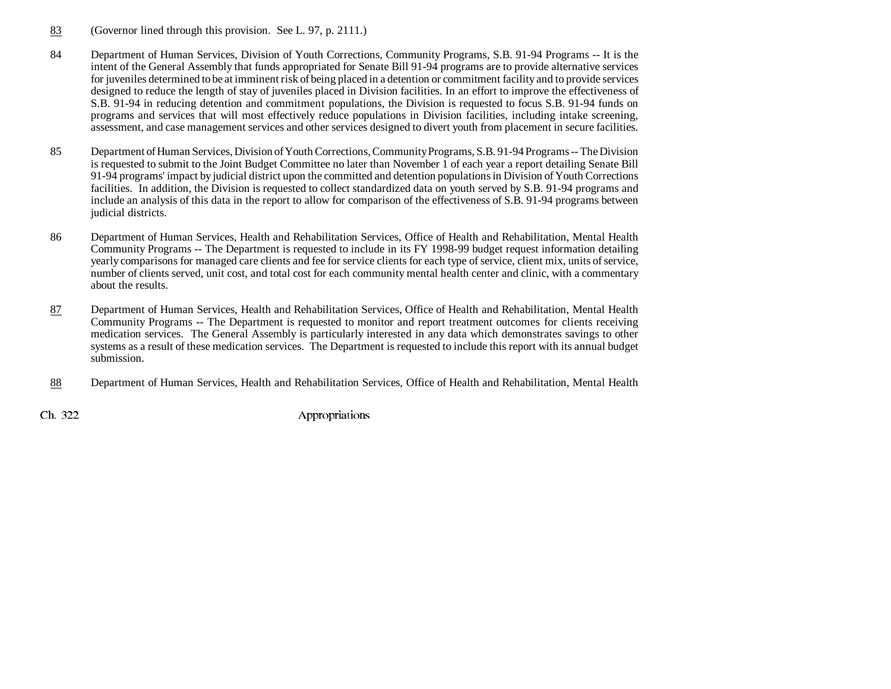- 83(Governor lined through this provision. See L. 97, p. 2111.)
- 84 Department of Human Services, Division of Youth Corrections, Community Programs, S.B. 91-94 Programs -- It is the intent of the General Assembly that funds appropriated for Senate Bill 91-94 programs are to provide alternative services for juveniles determined to be at imminent risk of being placed in a detention or commitment facility and to provide services designed to reduce the length of stay of juveniles placed in Division facilities. In an effort to improve the effectiveness of S.B. 91-94 in reducing detention and commitment populations, the Division is requested to focus S.B. 91-94 funds on programs and services that will most effectively reduce populations in Division facilities, including intake screening, assessment, and case management services and other services designed to divert youth from placement in secure facilities.
- 85 Department of Human Services, Division of Youth Corrections, Community Programs, S.B. 91-94 Programs -- The Division is requested to submit to the Joint Budget Committee no later than November 1 of each year a report detailing Senate Bill 91-94 programs' impact by judicial district upon the committed and detention populations in Division of Youth Corrections facilities. In addition, the Division is requested to collect standardized data on youth served by S.B. 91-94 programs and include an analysis of this data in the report to allow for comparison of the effectiveness of S.B. 91-94 programs between judicial districts.
- 86 Department of Human Services, Health and Rehabilitation Services, Office of Health and Rehabilitation, Mental Health Community Programs -- The Department is requested to include in its FY 1998-99 budget request information detailing yearly comparisons for managed care clients and fee for service clients for each type of service, client mix, units of service, number of clients served, unit cost, and total cost for each community mental health center and clinic, with a commentary about the results.
- 87 Department of Human Services, Health and Rehabilitation Services, Office of Health and Rehabilitation, Mental Health Community Programs -- The Department is requested to monitor and report treatment outcomes for clients receiving medication services. The General Assembly is particularly interested in any data which demonstrates savings to other systems as a result of these medication services. The Department is requested to include this report with its annual budget submission.
- 88Department of Human Services, Health and Rehabilitation Services, Office of Health and Rehabilitation, Mental Health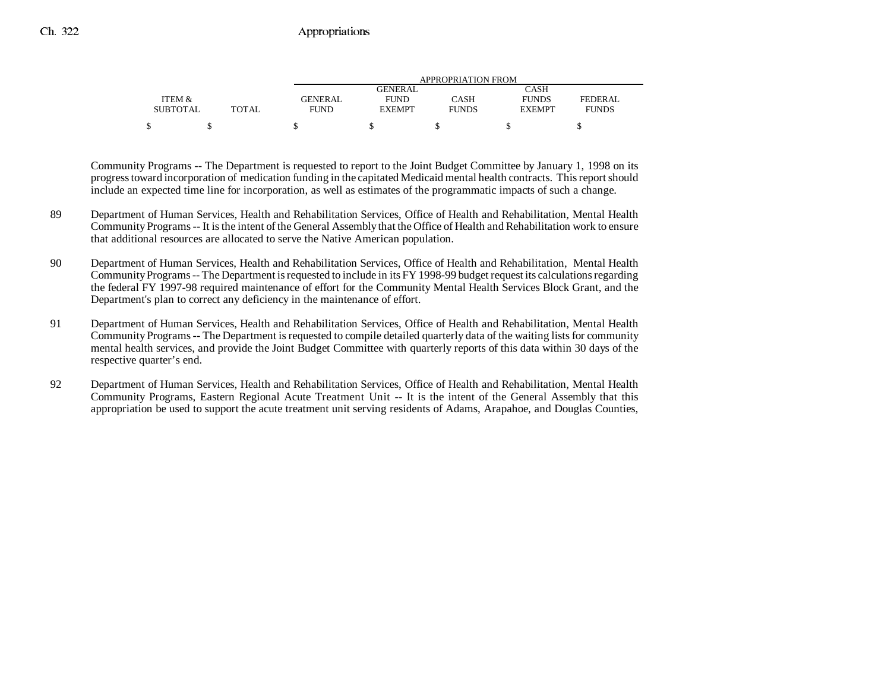|                 |       | APPROPRIATION FROM |                |              |               |              |  |
|-----------------|-------|--------------------|----------------|--------------|---------------|--------------|--|
|                 |       |                    | <b>GENERAL</b> |              | CASH          |              |  |
| ITEM &          |       | GENERAL            | <b>FUND</b>    | CASH         | <b>FUNDS</b>  | FEDERAL      |  |
| <b>SUBTOTAL</b> | TOTAL | FUND               | <b>EXEMPT</b>  | <b>FUNDS</b> | <b>EXEMPT</b> | <b>FUNDS</b> |  |
|                 |       |                    |                |              |               |              |  |
|                 |       |                    |                |              |               |              |  |

Community Programs -- The Department is requested to report to the Joint Budget Committee by January 1, 1998 on its progress toward incorporation of medication funding in the capitated Medicaid mental health contracts. This report should include an expected time line for incorporation, as well as estimates of the programmatic impacts of such a change.

- 89 Department of Human Services, Health and Rehabilitation Services, Office of Health and Rehabilitation, Mental Health Community Programs -- It is the intent of the General Assembly that the Office of Health and Rehabilitation work to ensure that additional resources are allocated to serve the Native American population.
- 90 Department of Human Services, Health and Rehabilitation Services, Office of Health and Rehabilitation, Mental Health Community Programs -- The Department is requested to include in its FY 1998-99 budget request its calculations regarding the federal FY 1997-98 required maintenance of effort for the Community Mental Health Services Block Grant, and the Department's plan to correct any deficiency in the maintenance of effort.
- 91 Department of Human Services, Health and Rehabilitation Services, Office of Health and Rehabilitation, Mental Health Community Programs -- The Department is requested to compile detailed quarterly data of the waiting lists for community mental health services, and provide the Joint Budget Committee with quarterly reports of this data within 30 days of the respective quarter's end.
- 92 Department of Human Services, Health and Rehabilitation Services, Office of Health and Rehabilitation, Mental Health Community Programs, Eastern Regional Acute Treatment Unit -- It is the intent of the General Assembly that this appropriation be used to support the acute treatment unit serving residents of Adams, Arapahoe, and Douglas Counties,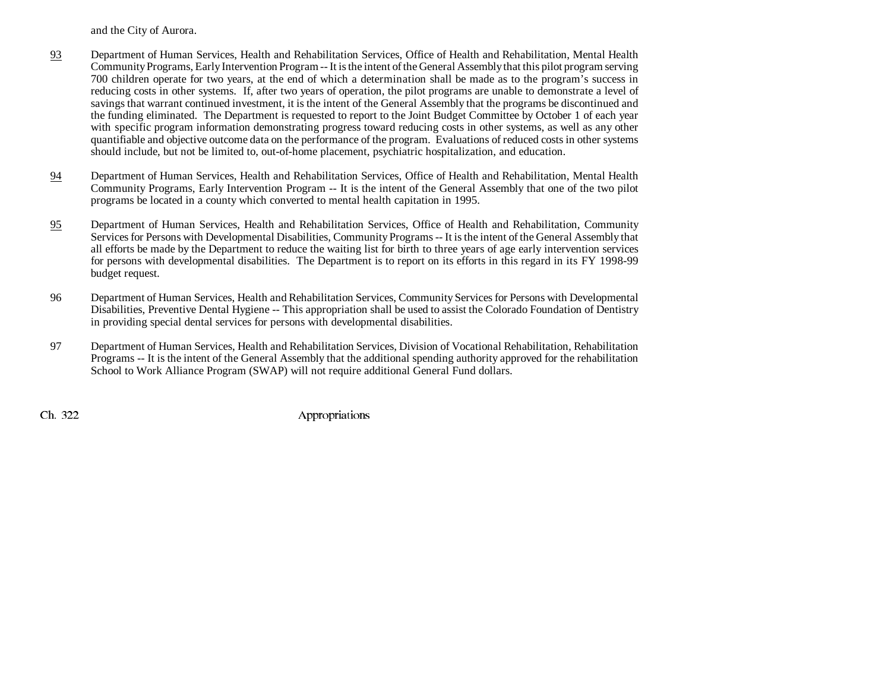and the City of Aurora.

- 93 Department of Human Services, Health and Rehabilitation Services, Office of Health and Rehabilitation, Mental Health Community Programs, Early Intervention Program -- It is the intent of the General Assembly that this pilot program serving 700 children operate for two years, at the end of which a determination shall be made as to the program's success in reducing costs in other systems. If, after two years of operation, the pilot programs are unable to demonstrate a level of savings that warrant continued investment, it is the intent of the General Assembly that the programs be discontinued and the funding eliminated. The Department is requested to report to the Joint Budget Committee by October 1 of each year with specific program information demonstrating progress toward reducing costs in other systems, as well as any other quantifiable and objective outcome data on the performance of the program. Evaluations of reduced costs in other systems should include, but not be limited to, out-of-home placement, psychiatric hospitalization, and education.
- 94 Department of Human Services, Health and Rehabilitation Services, Office of Health and Rehabilitation, Mental Health Community Programs, Early Intervention Program -- It is the intent of the General Assembly that one of the two pilot programs be located in a county which converted to mental health capitation in 1995.
- 95 Department of Human Services, Health and Rehabilitation Services, Office of Health and Rehabilitation, Community Services for Persons with Developmental Disabilities, Community Programs -- It is the intent of the General Assembly that all efforts be made by the Department to reduce the waiting list for birth to three years of age early intervention services for persons with developmental disabilities. The Department is to report on its efforts in this regard in its FY 1998-99 budget request.
- 96 Department of Human Services, Health and Rehabilitation Services, Community Services for Persons with Developmental Disabilities, Preventive Dental Hygiene -- This appropriation shall be used to assist the Colorado Foundation of Dentistry in providing special dental services for persons with developmental disabilities.
- 97 Department of Human Services, Health and Rehabilitation Services, Division of Vocational Rehabilitation, Rehabilitation Programs -- It is the intent of the General Assembly that the additional spending authority approved for the rehabilitation School to Work Alliance Program (SWAP) will not require additional General Fund dollars.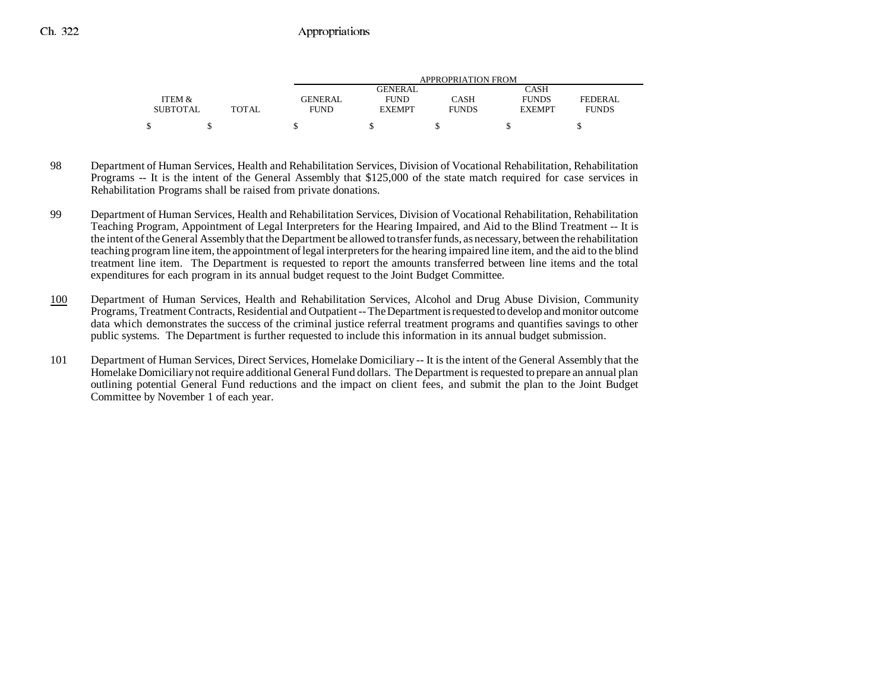|                 |       | APPROPRIATION FROM |                |              |               |              |  |
|-----------------|-------|--------------------|----------------|--------------|---------------|--------------|--|
|                 |       |                    | <b>GENERAL</b> |              | CASH          |              |  |
| ITEM &          |       | <b>GENERAL</b>     | <b>FUND</b>    | CASH         | <b>FUNDS</b>  | FEDERAL      |  |
| <b>SUBTOTAL</b> | TOTAL | <b>FUND</b>        | <b>EXEMPT</b>  | <b>FUNDS</b> | <b>EXEMPT</b> | <b>FUNDS</b> |  |
|                 |       |                    |                |              |               |              |  |

- 98 Department of Human Services, Health and Rehabilitation Services, Division of Vocational Rehabilitation, Rehabilitation Programs -- It is the intent of the General Assembly that \$125,000 of the state match required for case services in Rehabilitation Programs shall be raised from private donations.
- 99 Department of Human Services, Health and Rehabilitation Services, Division of Vocational Rehabilitation, Rehabilitation Teaching Program, Appointment of Legal Interpreters for the Hearing Impaired, and Aid to the Blind Treatment -- It is the intent of the General Assembly that the Department be allowed to transfer funds, as necessary, between the rehabilitation teaching program line item, the appointment of legal interpreters for the hearing impaired line item, and the aid to the blind treatment line item. The Department is requested to report the amounts transferred between line items and the total expenditures for each program in its annual budget request to the Joint Budget Committee.
- 100 Department of Human Services, Health and Rehabilitation Services, Alcohol and Drug Abuse Division, Community Programs, Treatment Contracts, Residential and Outpatient -- The Department is requested to develop and monitor outcome data which demonstrates the success of the criminal justice referral treatment programs and quantifies savings to other public systems. The Department is further requested to include this information in its annual budget submission.
- 101 Department of Human Services, Direct Services, Homelake Domiciliary -- It is the intent of the General Assembly that the Homelake Domiciliary not require additional General Fund dollars. The Department is requested to prepare an annual plan outlining potential General Fund reductions and the impact on client fees, and submit the plan to the Joint Budget Committee by November 1 of each year.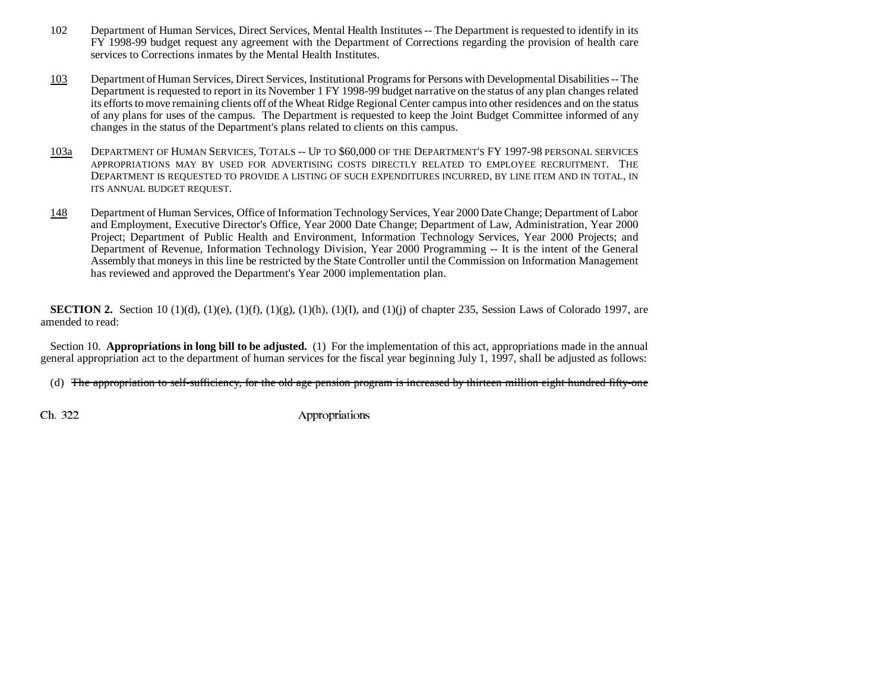- 102 Department of Human Services, Direct Services, Mental Health Institutes -- The Department is requested to identify in its FY 1998-99 budget request any agreement with the Department of Corrections regarding the provision of health care services to Corrections inmates by the Mental Health Institutes.
- 103 Department of Human Services, Direct Services, Institutional Programs for Persons with Developmental Disabilities -- The Department is requested to report in its November 1 FY 1998-99 budget narrative on the status of any plan changes related its efforts to move remaining clients off of the Wheat Ridge Regional Center campus into other residences and on the status of any plans for uses of the campus. The Department is requested to keep the Joint Budget Committee informed of any changes in the status of the Department's plans related to clients on this campus.
- 103aDEPARTMENT OF HUMAN SERVICES, TOTALS -- UP TO \$60,000 OF THE DEPARTMENT'S FY 1997-98 PERSONAL SERVICES APPROPRIATIONS MAY BY USED FOR ADVERTISING COSTS DIRECTLY RELATED TO EMPLOYEE RECRUITMENT. THEDEPARTMENT IS REQUESTED TO PROVIDE A LISTING OF SUCH EXPENDITURES INCURRED, BY LINE ITEM AND IN TOTAL, IN ITS ANNUAL BUDGET REQUEST.
- 148 Department of Human Services, Office of Information Technology Services, Year 2000 Date Change; Department of Labor and Employment, Executive Director's Office, Year 2000 Date Change; Department of Law, Administration, Year 2000 Project; Department of Public Health and Environment, Information Technology Services, Year 2000 Projects; and Department of Revenue, Information Technology Division, Year 2000 Programming -- It is the intent of the General Assembly that moneys in this line be restricted by the State Controller until the Commission on Information Management has reviewed and approved the Department's Year 2000 implementation plan.

**SECTION 2.** Section 10 (1)(d), (1)(e), (1)(f), (1)(g), (1)(h), (1)(I), and (1)(j) of chapter 235, Session Laws of Colorado 1997, are amended to read:

Section 10. **Appropriations in long bill to be adjusted.** (1) For the implementation of this act, appropriations made in the annual general appropriation act to the department of human services for the fiscal year beginning July 1, 1997, shall be adjusted as follows:

(d) The appropriation to self-sufficiency, for the old age pension program is increased by thirteen million eight hundred fifty-one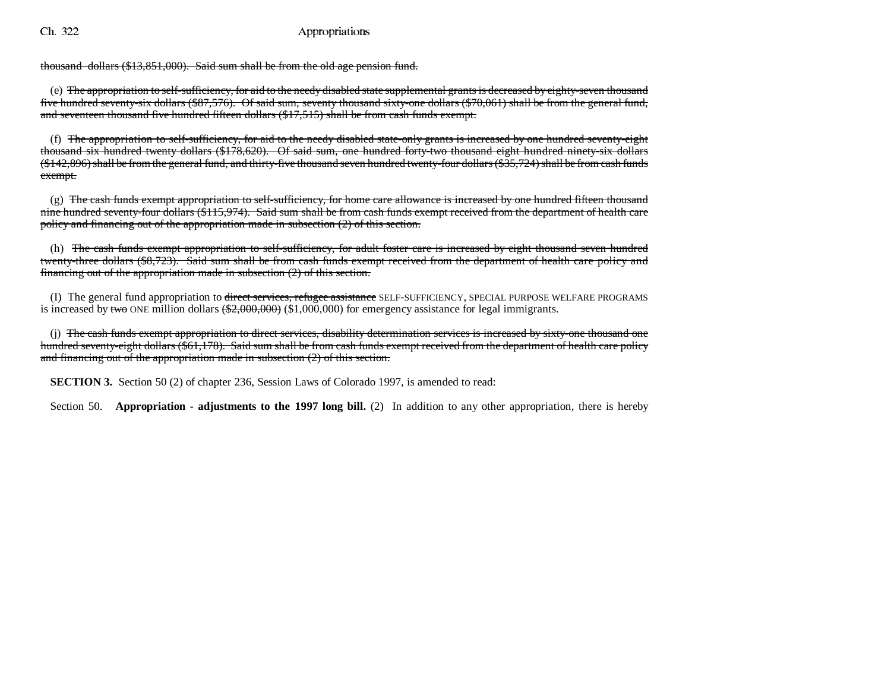thousand dollars (\$13,851,000). Said sum shall be from the old age pension fund.

(e) The appropriation to self-sufficiency, for aid to the needy disabled state supplemental grants is decreased by eighty-seven thousand five hundred seventy-six dollars (\$87,576). Of said sum, seventy thousand sixty-one dollars (\$70,061) shall be from the general fund, and seventeen thousand five hundred fifteen dollars (\$17,515) shall be from cash funds exempt.

(f) The appropriation to self-sufficiency, for aid to the needy disabled state-only grants is increased by one hundred seventy-eight thousand six hundred twenty dollars (\$178,620). Of said sum, one hundred forty-two thousand eight hundred ninety-six dollars (\$142,896) shall be from the general fund, and thirty-five thousand seven hundred twenty-four dollars (\$35,724) shall be from cash funds exempt.

 $(g)$  The cash funds exempt appropriation to self-sufficiency, for home care allowance is increased by one hundred fifteen thousand nine hundred seventy-four dollars (\$115,974). Said sum shall be from cash funds exempt received from the department of health care policy and financing out of the appropriation made in subsection (2) of this section.

(h) The cash funds exempt appropriation to self-sufficiency, for adult foster care is increased by eight thousand seven hundre d twenty-three dollars (\$8,723). Said sum shall be from cash funds exempt received from the department of health care policy and financing out of the appropriation made in subsection  $(2)$  of this section.

(I) The general fund appropriation to direct services, refugee assistance SELF-SUFFICIENCY, SPECIAL PURPOSE WELFARE PROGRAMS is increased by two ONE million dollars  $(\$2,000,000)$  (\$1,000,000) for emergency assistance for legal immigrants.

(j) The cash funds exempt appropriation to direct services, disability determination services is increased by sixty-one thousand one hundred seventy-eight dollars (\$61,178). Said sum shall be from cash funds exempt received from the department of health care policy and financing out of the appropriation made in subsection (2) of this section.

**SECTION 3.** Section 50 (2) of chapter 236, Session Laws of Colorado 1997, is amended to read:

Section 50. **Appropriation - adjustments to the 1997 long bill.** (2) In addition to any other appropriation, there is hereby